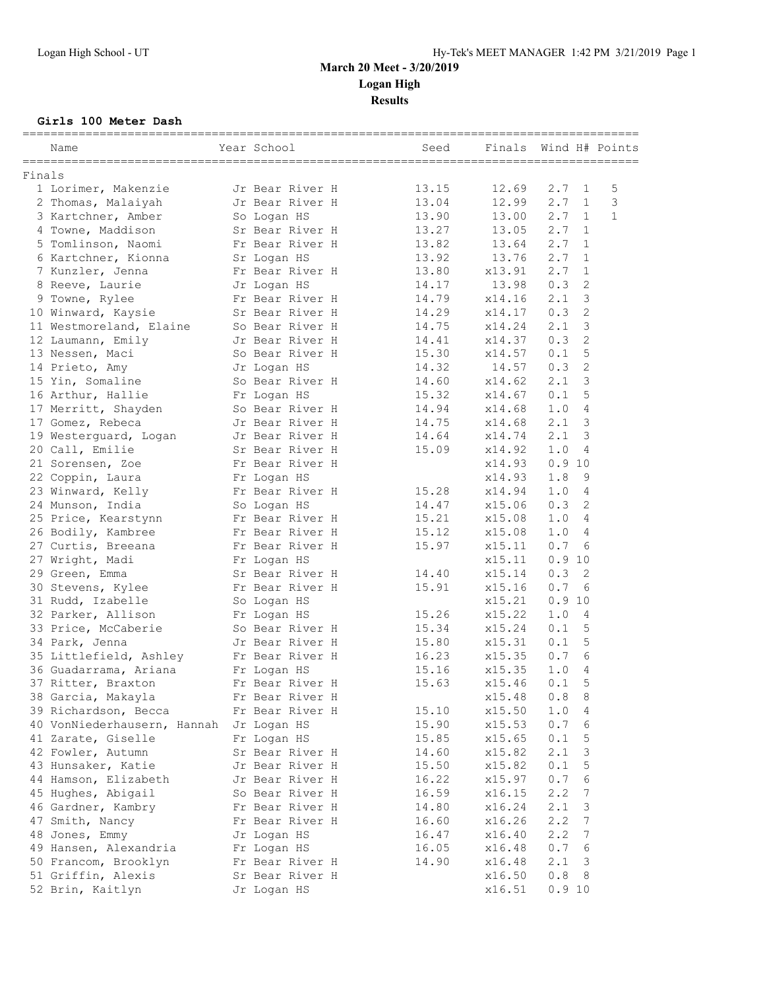#### **Girls 100 Meter Dash**

|        | Name                                    | Year School     | Seed  | Finals |        |                | Wind H# Points |
|--------|-----------------------------------------|-----------------|-------|--------|--------|----------------|----------------|
| Finals |                                         |                 |       |        |        |                |                |
|        | 1 Lorimer, Makenzie                     | Jr Bear River H | 13.15 | 12.69  | 2.7    | $\overline{1}$ | 5              |
|        | 2 Thomas, Malaiyah                      | Jr Bear River H | 13.04 | 12.99  | 2.7    | $\mathbf{1}$   | 3              |
|        | 3 Kartchner, Amber                      | So Logan HS     | 13.90 | 13.00  | 2.7    | $\mathbf{1}$   | $\mathbf{1}$   |
|        | 4 Towne, Maddison                       | Sr Bear River H | 13.27 | 13.05  | 2.7    | $\mathbf{1}$   |                |
|        | 5 Tomlinson, Naomi                      | Fr Bear River H | 13.82 | 13.64  | 2.7    | 1              |                |
|        | 6 Kartchner, Kionna                     | Sr Logan HS     | 13.92 | 13.76  | 2.7    | 1              |                |
|        | 7 Kunzler, Jenna                        | Fr Bear River H | 13.80 | x13.91 | 2.7    | $\mathbf{1}$   |                |
|        | 8 Reeve, Laurie                         | Jr Logan HS     | 14.17 | 13.98  | 0.3    | 2              |                |
|        | 9 Towne, Rylee                          | Fr Bear River H | 14.79 | x14.16 | 2.1    | 3              |                |
|        | 10 Winward, Kaysie                      | Sr Bear River H | 14.29 | x14.17 | 0.3    | 2              |                |
|        | 11 Westmoreland, Elaine                 | So Bear River H | 14.75 | x14.24 | 2.1    | 3              |                |
|        | 12 Laumann, Emily                       | Jr Bear River H | 14.41 | x14.37 | 0.3    | $\overline{2}$ |                |
|        | 13 Nessen, Maci                         | So Bear River H | 15.30 | x14.57 | 0.1    | 5              |                |
|        | 14 Prieto, Amy                          | Jr Logan HS     | 14.32 | 14.57  | 0.3    | 2              |                |
|        | 15 Yin, Somaline                        | So Bear River H | 14.60 | x14.62 | 2.1    | 3              |                |
|        | 16 Arthur, Hallie                       | Fr Logan HS     | 15.32 | x14.67 | 0.1    | 5              |                |
|        | 17 Merritt, Shayden                     | So Bear River H | 14.94 | x14.68 | 1.0    | 4              |                |
|        | 17 Gomez, Rebeca                        | Jr Bear River H | 14.75 | x14.68 | 2.1    | 3              |                |
|        | 19 Westerquard, Logan                   | Jr Bear River H | 14.64 | x14.74 | 2.1    | 3              |                |
|        | 20 Call, Emilie                         | Sr Bear River H | 15.09 | x14.92 | 1.0    | 4              |                |
|        | 21 Sorensen, Zoe                        | Fr Bear River H |       | x14.93 | 0.910  |                |                |
|        | 22 Coppin, Laura                        | Fr Logan HS     |       | x14.93 | 1.8    | 9              |                |
|        | 23 Winward, Kelly                       | Fr Bear River H | 15.28 | x14.94 | 1.0    | 4              |                |
|        | 24 Munson, India                        | So Logan HS     | 14.47 | x15.06 | 0.3    | 2              |                |
|        | 25 Price, Kearstynn                     | Fr Bear River H | 15.21 | x15.08 | 1.0    | 4              |                |
|        | 26 Bodily, Kambree                      | Fr Bear River H | 15.12 | x15.08 | 1.0    | 4              |                |
|        | 27 Curtis, Breeana                      | Fr Bear River H | 15.97 | x15.11 | 0.7    | 6              |                |
|        | 27 Wright, Madi                         | Fr Logan HS     |       | x15.11 | 0.910  |                |                |
|        | 29 Green, Emma                          | Sr Bear River H | 14.40 | x15.14 | 0.3    | 2              |                |
|        | 30 Stevens, Kylee                       | Fr Bear River H | 15.91 | x15.16 | 0.7    | 6              |                |
|        | 31 Rudd, Izabelle                       | So Logan HS     |       | x15.21 | 0.910  |                |                |
|        | 32 Parker, Allison                      | Fr Logan HS     | 15.26 | x15.22 | 1.0    | -4             |                |
|        | 33 Price, McCaberie                     | So Bear River H | 15.34 | x15.24 | 0.1    | 5              |                |
|        | 34 Park, Jenna                          | Jr Bear River H | 15.80 | x15.31 | 0.1    | 5              |                |
|        | 35 Littlefield, Ashley                  | Fr Bear River H | 16.23 | x15.35 | 0.7    | 6              |                |
|        | 36 Guadarrama, Ariana                   | Fr Logan HS     | 15.16 | x15.35 | 1.0    | 4              |                |
|        | 37 Ritter, Braxton                      | Fr Bear River H | 15.63 | x15.46 | 0.1    | 5              |                |
|        | 38 Garcia, Makayla                      | Fr Bear River H |       | x15.48 | 0.8    | 8              |                |
|        | 39 Richardson, Becca                    | Fr Bear River H | 15.10 | x15.50 | 1.0    | 4              |                |
|        | 40 VonNiederhausern, Hannah Jr Logan HS |                 | 15.90 | x15.53 | 0.7    | 6              |                |
|        | 41 Zarate, Giselle                      | Fr Logan HS     | 15.85 | x15.65 | 0.1    | 5              |                |
|        | 42 Fowler, Autumn                       | Sr Bear River H | 14.60 | x15.82 | 2.1    | 3              |                |
|        | 43 Hunsaker, Katie                      | Jr Bear River H | 15.50 | x15.82 | 0.1    | 5              |                |
|        | 44 Hamson, Elizabeth                    | Jr Bear River H | 16.22 | x15.97 | 0.7    | 6              |                |
|        | 45 Hughes, Abigail                      | So Bear River H | 16.59 | x16.15 | 2.2    | 7              |                |
|        | 46 Gardner, Kambry                      | Fr Bear River H | 14.80 | x16.24 | 2.1    | 3              |                |
|        |                                         |                 |       | x16.26 | 2.2    | 7              |                |
|        | 47 Smith, Nancy                         | Fr Bear River H | 16.60 |        |        |                |                |
|        | 48 Jones, Emmy                          | Jr Logan HS     | 16.47 | x16.40 | 2.2    | 7              |                |
|        | 49 Hansen, Alexandria                   | Fr Logan HS     | 16.05 | x16.48 | 0.7    | 6              |                |
|        | 50 Francom, Brooklyn                    | Fr Bear River H | 14.90 | x16.48 | 2.1    | 3              |                |
|        | 51 Griffin, Alexis                      | Sr Bear River H |       | x16.50 | 0.8    | -8             |                |
|        | 52 Brin, Kaitlyn                        | Jr Logan HS     |       | x16.51 | 0.9 10 |                |                |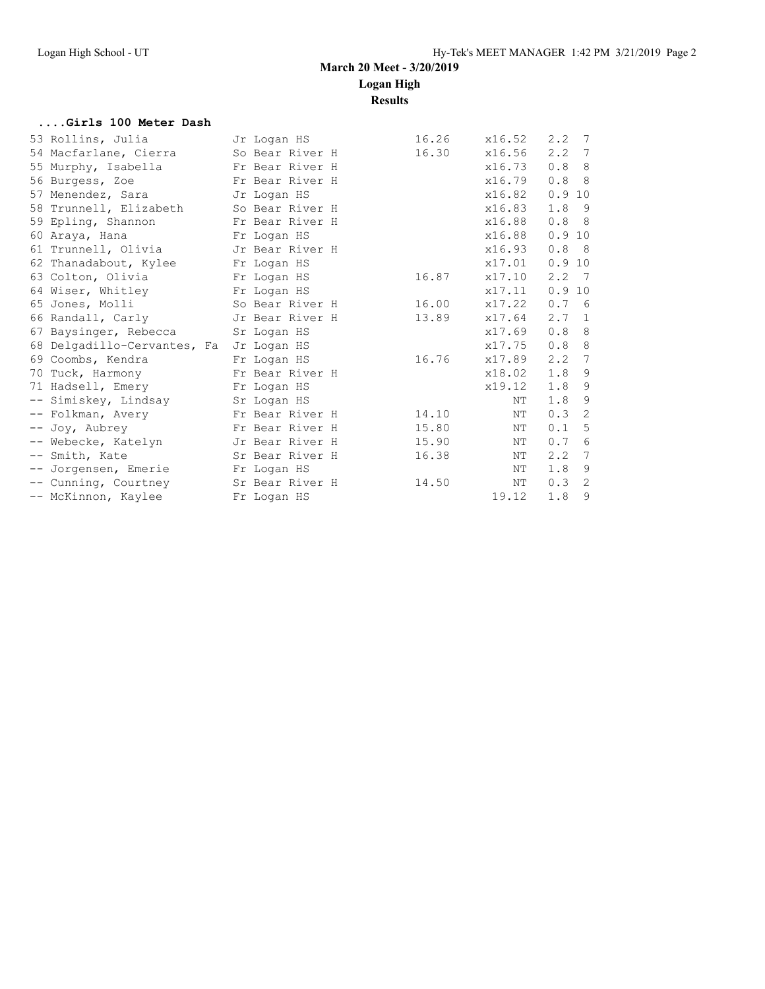**Results**

#### **....Girls 100 Meter Dash**

| 53 Rollins, Julia           | Jr Logan HS     | 16.26 | x16.52 | 2, 2<br>7                         |
|-----------------------------|-----------------|-------|--------|-----------------------------------|
| 54 Macfarlane, Cierra       | So Bear River H | 16.30 | x16.56 | $2.2 \quad 7$                     |
| 55 Murphy, Isabella         | Fr Bear River H |       | x16.73 | 0.88                              |
| 56 Burgess, Zoe             | Fr Bear River H |       | x16.79 | 0.88                              |
| 57 Menendez, Sara           | Jr Logan HS     |       | x16.82 | 0.910                             |
| 58 Trunnell, Elizabeth      | So Bear River H |       | x16.83 | $1.8$ 9                           |
| 59 Epling, Shannon          | Fr Bear River H |       | x16.88 | 0.88                              |
| 60 Araya, Hana              | Fr Logan HS     |       | x16.88 | 0.910                             |
| 61 Trunnell, Olivia         | Jr Bear River H |       | x16.93 | 0.88                              |
| 62 Thanadabout, Kylee       | Fr Logan HS     |       | x17.01 | 0.910                             |
| 63 Colton, Olivia           | Fr Logan HS     | 16.87 | x17.10 | $2, 2 \quad 7$                    |
| 64 Wiser, Whitley           | Fr Logan HS     |       | x17.11 | 0.910                             |
| 65 Jones, Molli             | So Bear River H | 16.00 | x17.22 | 0.7<br>6                          |
| 66 Randall, Carly           | Jr Bear River H | 13.89 | x17.64 | 2.7<br>$\overline{1}$             |
| 67 Baysinger, Rebecca       | Sr Logan HS     |       | x17.69 | 0.88                              |
| 68 Delgadillo-Cervantes, Fa | Jr Logan HS     |       | x17.75 | 0.88                              |
| 69 Coombs, Kendra           | Fr Logan HS     | 16.76 | x17.89 | $2.2 \quad 7$                     |
| 70 Tuck, Harmony            | Fr Bear River H |       | x18.02 | $1.8$ 9                           |
| 71 Hadsell, Emery           | Fr Logan HS     |       | x19.12 | $1.8$ 9                           |
| -- Simiskey, Lindsay        | Sr Logan HS     |       | NΤ     | 9<br>1.8                          |
| -- Folkman, Avery           | Fr Bear River H | 14.10 | ΝT     | $\overline{\phantom{0}}^2$<br>0.3 |
| -- Joy, Aubrey              | Fr Bear River H | 15.80 | NΤ     | 5<br>0.1                          |
| -- Webecke, Katelyn         | Jr Bear River H | 15.90 | NΤ     | 6<br>0.7                          |
| -- Smith, Kate              | Sr Bear River H | 16.38 | NΤ     | $7\phantom{.0}$<br>2, 2           |
| -- Jorgensen, Emerie        | Fr Logan HS     |       | ΝT     | 9<br>1.8                          |
| -- Cunning, Courtney        | Sr Bear River H | 14.50 | NΤ     | 0.32                              |
| -- McKinnon, Kaylee         | Fr Logan HS     |       | 19.12  | 9<br>1.8                          |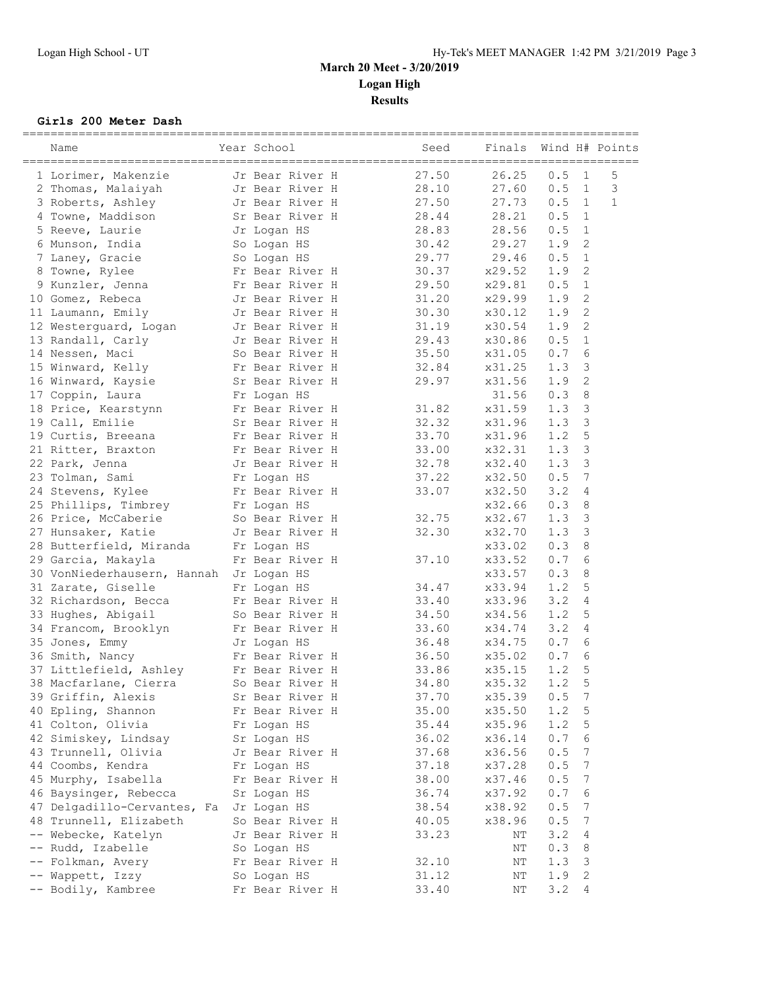#### **Girls 200 Meter Dash**

|      | Name                                       | Year School                    | Seed  | Finals |         |               | Wind H# Points |
|------|--------------------------------------------|--------------------------------|-------|--------|---------|---------------|----------------|
|      | 1 Lorimer, Makenzie                        | Jr Bear River H                | 27.50 | 26.25  | 0.5     | $\mathbf{1}$  | 5              |
|      | 2 Thomas, Malaiyah                         | Jr Bear River H                | 28.10 | 27.60  | 0.5     | $\mathbf{1}$  | 3              |
|      | 3 Roberts, Ashley                          | Jr Bear River H                | 27.50 | 27.73  | 0.5     | $\mathbf{1}$  | $\mathbf{1}$   |
|      | 4 Towne, Maddison                          | Sr Bear River H                | 28.44 | 28.21  | 0.5     | 1             |                |
|      | 5 Reeve, Laurie                            | Jr Logan HS                    | 28.83 | 28.56  | 0.5     | $\mathbf{1}$  |                |
|      | 6 Munson, India                            | So Logan HS                    | 30.42 | 29.27  | 1.9     | 2             |                |
|      | 7 Laney, Gracie                            | So Logan HS                    | 29.77 | 29.46  | 0.5     | $\mathbf{1}$  |                |
| 8    | Towne, Rylee                               | Fr Bear River H                | 30.37 | x29.52 | 1.9     | 2             |                |
|      | 9 Kunzler, Jenna                           | Fr Bear River H                | 29.50 | x29.81 | 0.5     | $\mathbf{1}$  |                |
|      | 10 Gomez, Rebeca                           | Jr Bear River H                | 31.20 | x29.99 | 1.9     | 2             |                |
|      | 11 Laumann, Emily                          | Jr Bear River H                | 30.30 | x30.12 | 1.9     | 2             |                |
|      | 12 Westerguard, Logan                      | Jr Bear River H                | 31.19 | x30.54 | 1.9     | 2             |                |
|      | 13 Randall, Carly                          | Jr Bear River H                | 29.43 | x30.86 | 0.5     | $\mathbf 1$   |                |
|      | 14 Nessen, Maci                            | So Bear River H                | 35.50 | x31.05 | 0.7     | 6             |                |
|      | 15 Winward, Kelly                          | Fr Bear River H                | 32.84 | x31.25 | 1.3     | 3             |                |
|      | 16 Winward, Kaysie                         | Sr Bear River H                | 29.97 | x31.56 | 1.9     | 2             |                |
|      | 17 Coppin, Laura                           | Fr Logan HS                    |       | 31.56  | 0.3     | 8             |                |
|      | 18 Price, Kearstynn                        | Fr Bear River H                | 31.82 | x31.59 | 1.3     | 3             |                |
|      | 19 Call, Emilie                            | Sr Bear River H                | 32.32 | x31.96 | 1.3     | $\mathcal{S}$ |                |
|      | 19 Curtis, Breeana                         | Fr Bear River H                | 33.70 | x31.96 | 1.2     | 5             |                |
|      | 21 Ritter, Braxton                         | Fr Bear River H                | 33.00 | x32.31 | 1.3     | 3             |                |
|      | 22 Park, Jenna                             | Jr Bear River H                | 32.78 | x32.40 | 1.3     | 3             |                |
|      | 23 Tolman, Sami                            | Fr Logan HS                    | 37.22 | x32.50 | 0.5     | 7             |                |
|      | 24 Stevens, Kylee                          | Fr Bear River H                | 33.07 | x32.50 | 3.2     | 4             |                |
|      | 25 Phillips, Timbrey                       | Fr Logan HS                    |       | x32.66 | 0.3     | 8             |                |
|      | 26 Price, McCaberie                        | So Bear River H                | 32.75 | x32.67 | 1.3     | 3             |                |
|      | 27 Hunsaker, Katie                         | Jr Bear River H                | 32.30 | x32.70 | 1.3     | 3             |                |
|      | 28 Butterfield, Miranda                    |                                |       | x33.02 | 0.3     | 8             |                |
|      | 29 Garcia, Makayla                         | Fr Logan HS<br>Fr Bear River H | 37.10 | x33.52 | 0.7     | 6             |                |
|      |                                            |                                |       | x33.57 | 0.3     | 8             |                |
|      | 30 VonNiederhausern, Hannah Jr Logan HS    |                                | 34.47 | x33.94 | 1.2     | 5             |                |
|      | 31 Zarate, Giselle<br>32 Richardson, Becca | Fr Logan HS<br>Fr Bear River H | 33.40 | x33.96 | 3.2     | 4             |                |
|      |                                            | So Bear River H                | 34.50 | x34.56 | 1.2     | 5             |                |
|      | 33 Hughes, Abigail                         |                                |       |        | 3.2     | 4             |                |
|      | 34 Francom, Brooklyn                       | Fr Bear River H                | 33.60 | x34.74 | 0.7     |               |                |
|      | 35 Jones, Emmy                             | Jr Logan HS                    | 36.48 | x34.75 |         | 6             |                |
|      | 36 Smith, Nancy                            | Fr Bear River H                | 36.50 | x35.02 | 0.7     | 6             |                |
|      | 37 Littlefield, Ashley                     | Fr Bear River H                | 33.86 | x35.15 | 1.2     | 5             |                |
|      | 38 Macfarlane, Cierra                      | So Bear River H                | 34.80 | x35.32 | 1.2     | 5             |                |
|      | 39 Griffin, Alexis                         | Sr Bear River H                | 37.70 | x35.39 | 0.5     | 7             |                |
|      | 40 Epling, Shannon                         | Fr Bear River H                | 35.00 | x35.50 | 1.2     | 5             |                |
|      | 41 Colton, Olivia                          | Fr Logan HS                    | 35.44 | x35.96 | 1.2     | 5             |                |
|      | 42 Simiskey, Lindsay                       | Sr Logan HS                    | 36.02 | x36.14 | $0.7\,$ | 6             |                |
|      | 43 Trunnell, Olivia                        | Jr Bear River H                | 37.68 | x36.56 | 0.5     | 7             |                |
|      | 44 Coombs, Kendra                          | Fr Logan HS                    | 37.18 | x37.28 | 0.5     | 7             |                |
|      | 45 Murphy, Isabella                        | Fr Bear River H                | 38.00 | x37.46 | 0.5     | 7             |                |
|      | 46 Baysinger, Rebecca                      | Sr Logan HS                    | 36.74 | x37.92 | 0.7     | 6             |                |
|      | 47 Delgadillo-Cervantes, Fa                | Jr Logan HS                    | 38.54 | x38.92 | 0.5     | 7             |                |
|      | 48 Trunnell, Elizabeth                     | So Bear River H                | 40.05 | x38.96 | 0.5     | 7             |                |
|      | -- Webecke, Katelyn                        | Jr Bear River H                | 33.23 | ΝT     | 3.2     | 4             |                |
| $--$ | Rudd, Izabelle                             | So Logan HS                    |       | ΝT     | 0.3     | 8             |                |
|      | Folkman, Avery                             | Fr Bear River H                | 32.10 | ΝT     | 1.3     | 3             |                |
|      | Wappett, Izzy                              | So Logan HS                    | 31.12 | ΝT     | 1.9     | 2             |                |
|      | -- Bodily, Kambree                         | Fr Bear River H                | 33.40 | NΤ     | 3.2     | 4             |                |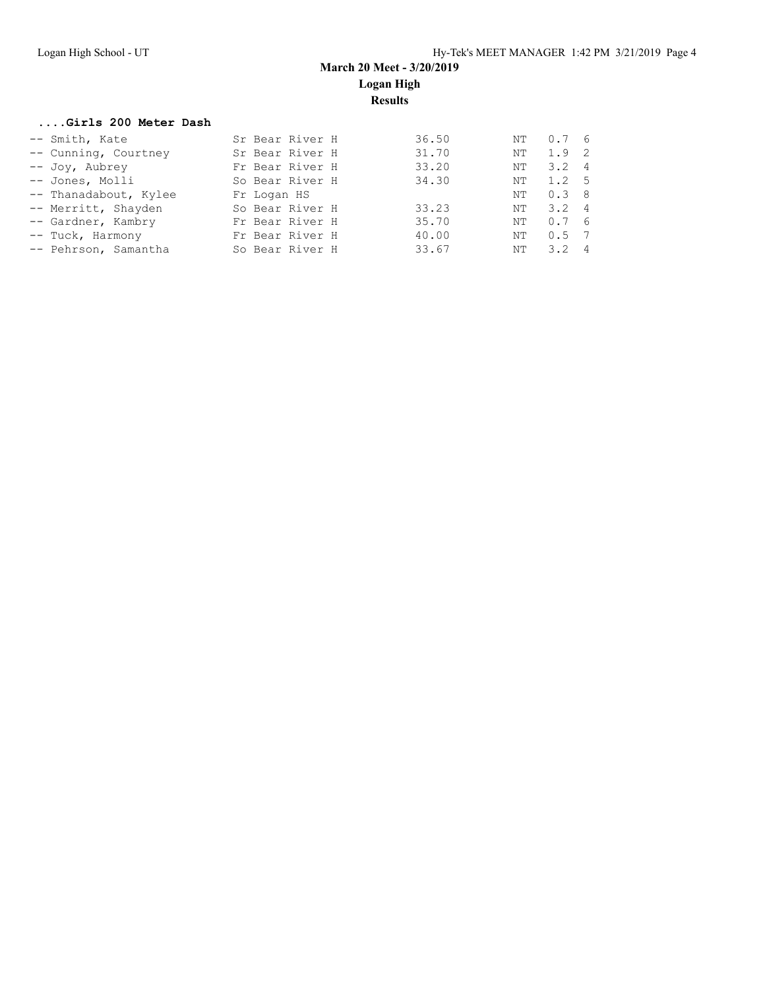#### **....Girls 200 Meter Dash**

| -- Smith, Kate        | Sr Bear River H | 36.50 | NT | 0.76          |
|-----------------------|-----------------|-------|----|---------------|
| -- Cunning, Courtney  | Sr Bear River H | 31.70 | NΤ | 1.9 2         |
| -- Joy, Aubrey        | Fr Bear River H | 33.20 | NT | $3.2 \quad 4$ |
| -- Jones, Molli       | So Bear River H | 34.30 | NΤ | 1.2 5         |
| -- Thanadabout, Kylee | Fr Logan HS     |       | NT | 0.38          |
| -- Merritt, Shayden   | So Bear River H | 33.23 | NT | $3.2 \quad 4$ |
| -- Gardner, Kambry    | Fr Bear River H | 35.70 | NΤ | 0.76          |
| -- Tuck, Harmony      | Fr Bear River H | 40.00 | NΤ | $0.5 \quad 7$ |
| -- Pehrson, Samantha  | So Bear River H | 33.67 | NT | $3.2 \quad 4$ |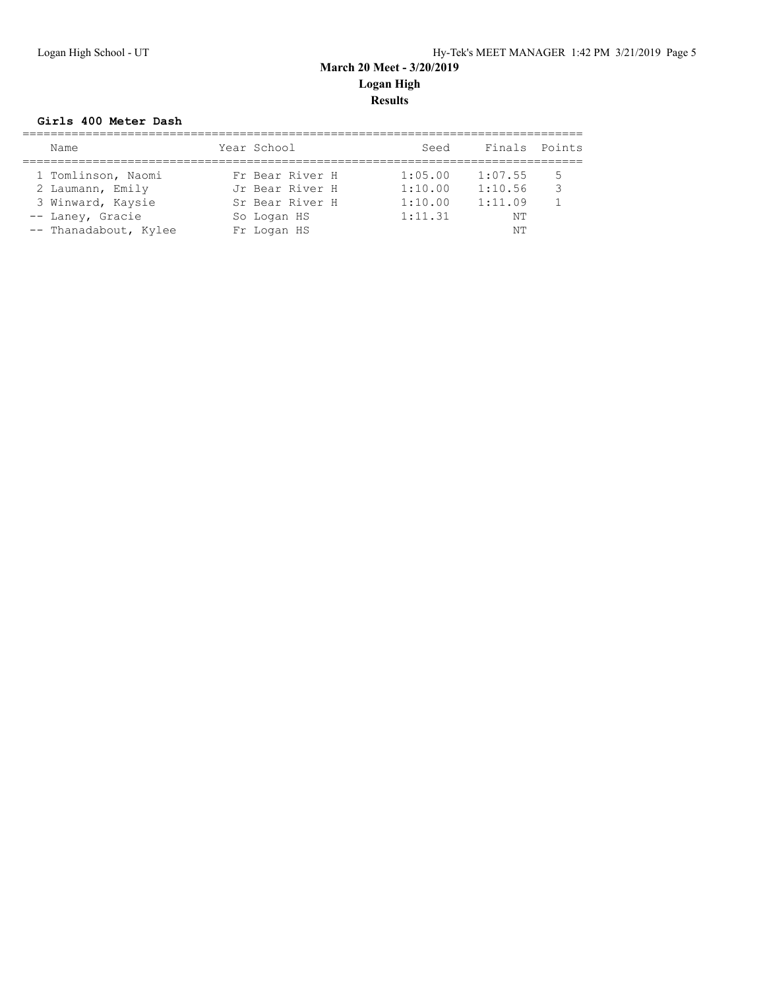#### **Girls 400 Meter Dash**

| Name                                                                                                     | Year School                                                                         | Seed                                     | Finals Points                             |        |
|----------------------------------------------------------------------------------------------------------|-------------------------------------------------------------------------------------|------------------------------------------|-------------------------------------------|--------|
| 1 Tomlinson, Naomi<br>2 Laumann, Emily<br>3 Winward, Kaysie<br>-- Laney, Gracie<br>-- Thanadabout, Kylee | Fr Bear River H<br>Jr Bear River H<br>Sr Bear River H<br>So Logan HS<br>Fr Logan HS | 1:05.00<br>1:10.00<br>1:10.00<br>1:11.31 | 1:07.55<br>1:10.56<br>1:11.09<br>NΤ<br>NΤ | 5<br>२ |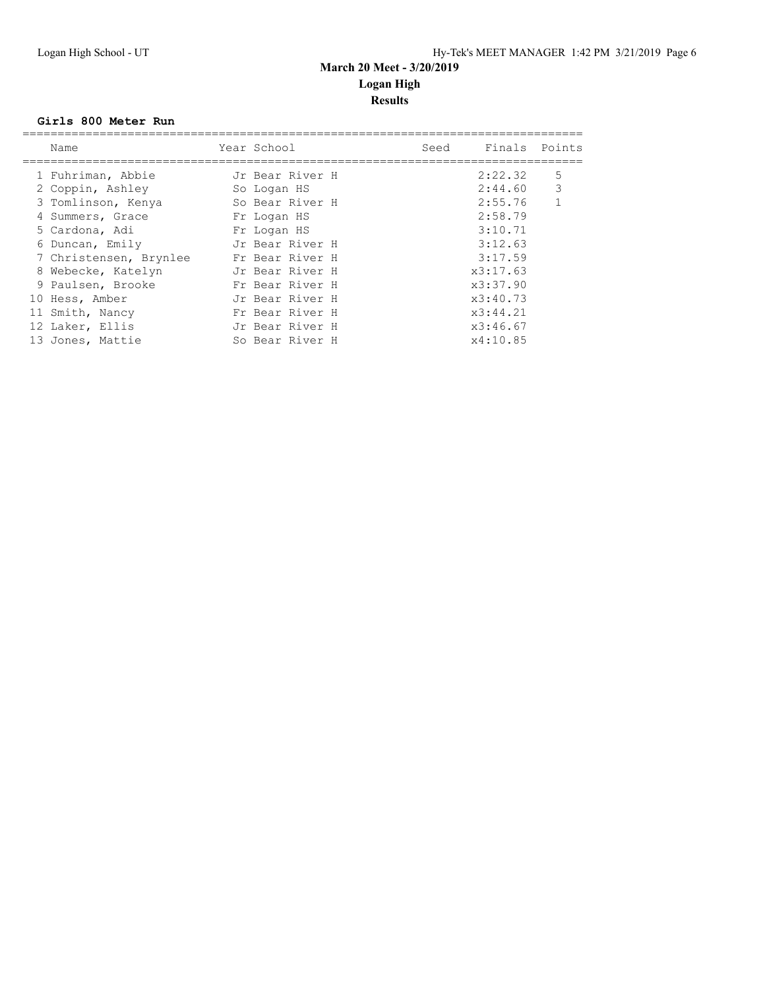#### **Girls 800 Meter Run**

| Name                   | Year School     | Seed | Finals Points |              |
|------------------------|-----------------|------|---------------|--------------|
| 1 Fuhriman, Abbie      | Jr Bear River H |      | 2:22.32       | 5            |
| 2 Coppin, Ashley       | So Logan HS     |      | 2:44.60       | $\mathbf{3}$ |
| 3 Tomlinson, Kenya     | So Bear River H |      | 2:55.76       |              |
| 4 Summers, Grace       | Fr Logan HS     |      | 2:58.79       |              |
| 5 Cardona, Adi         | Fr Logan HS     |      | 3:10.71       |              |
| 6 Duncan, Emily        | Jr Bear River H |      | 3:12.63       |              |
| 7 Christensen, Brynlee | Fr Bear River H |      | 3:17.59       |              |
| 8 Webecke, Katelyn     | Jr Bear River H |      | x3:17.63      |              |
| 9 Paulsen, Brooke      | Fr Bear River H |      | x3:37.90      |              |
| 10 Hess, Amber         | Jr Bear River H |      | x3:40.73      |              |
| 11 Smith, Nancy        | Fr Bear River H |      | x3:44.21      |              |
| 12 Laker, Ellis        | Jr Bear River H |      | x3:46.67      |              |
| 13 Jones, Mattie       | So Bear River H |      | x4:10.85      |              |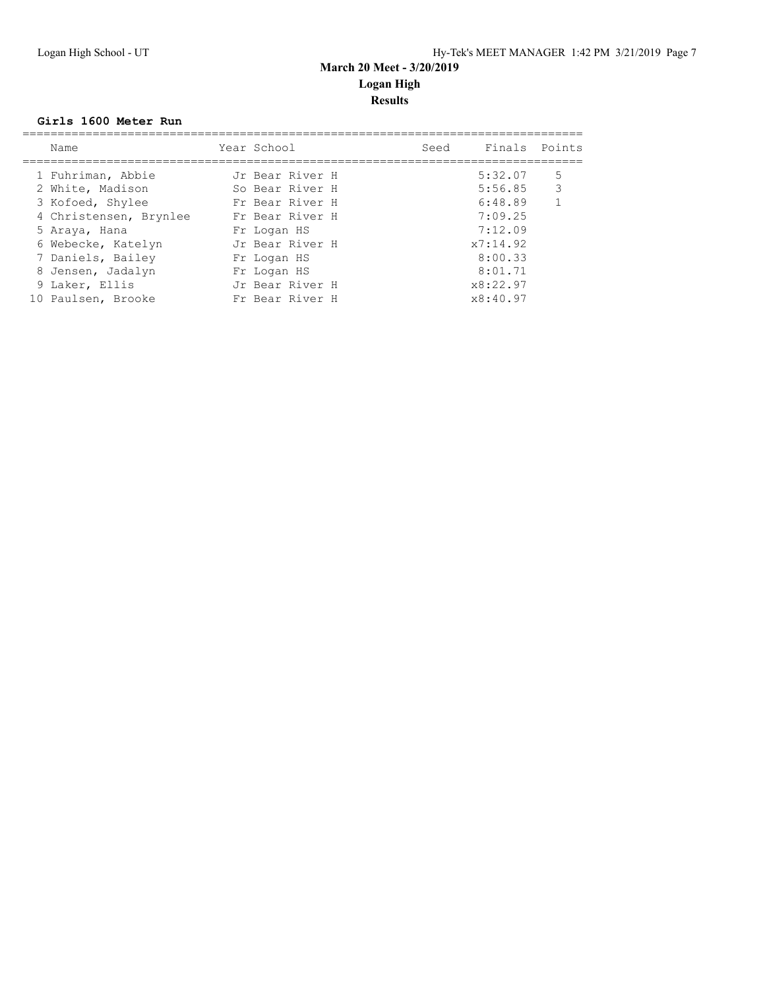#### **Girls 1600 Meter Run**

| Name                   | Year School     | Seed | Finals Points |                |
|------------------------|-----------------|------|---------------|----------------|
| 1 Fuhriman, Abbie      | Jr Bear River H |      | 5:32.07       | 5              |
| 2 White, Madison       | So Bear River H |      | $5:56.85$ 3   |                |
| 3 Kofoed, Shylee       | Fr Bear River H |      | 6:48.89       | $\overline{1}$ |
| 4 Christensen, Brynlee | Fr Bear River H |      | 7:09.25       |                |
| 5 Araya, Hana          | Fr Logan HS     |      | 7:12.09       |                |
| 6 Webecke, Katelyn     | Jr Bear River H |      | x7:14.92      |                |
| 7 Daniels, Bailey      | Fr Logan HS     |      | 8:00.33       |                |
| 8 Jensen, Jadalyn      | Fr Logan HS     |      | 8:01.71       |                |
| 9 Laker, Ellis         | Jr Bear River H |      | x8:22.97      |                |
| 10 Paulsen, Brooke     | Fr Bear River H |      | x8:40.97      |                |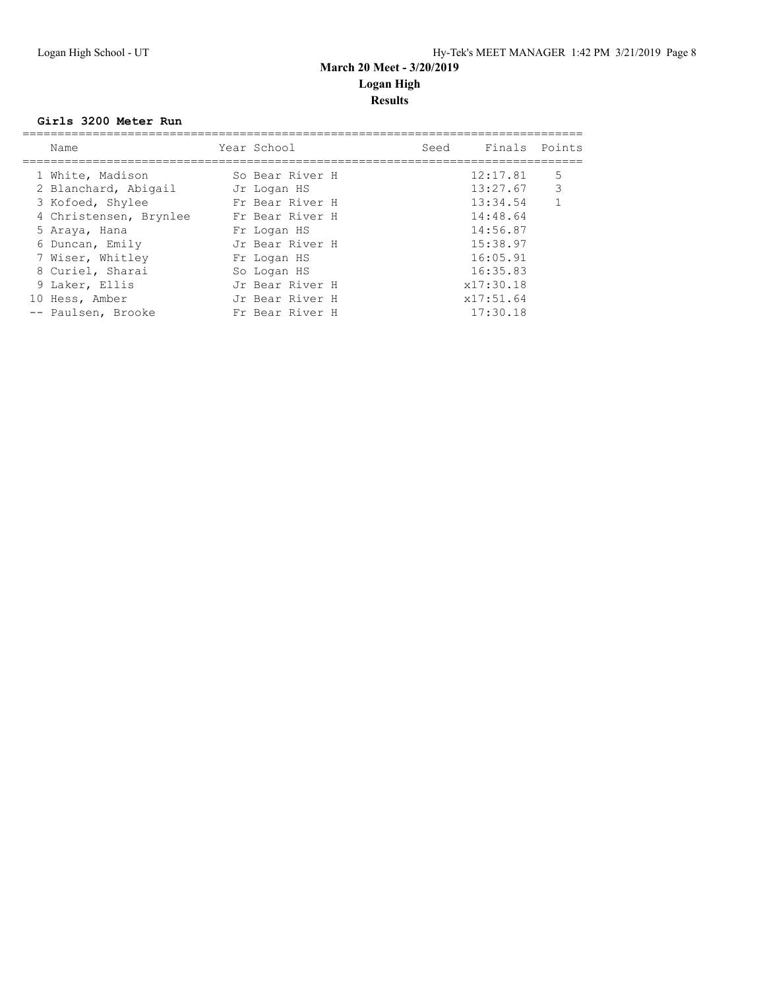#### **Girls 3200 Meter Run**

| Name                   | Year School     | Seed | Finals Points |              |
|------------------------|-----------------|------|---------------|--------------|
| 1 White, Madison       | So Bear River H |      | 12:17.81      | 5            |
| 2 Blanchard, Abigail   | Jr Logan HS     |      | 13:27.67      | 3            |
| 3 Kofoed, Shylee       | Fr Bear River H |      | 13:34.54      | $\mathbf{1}$ |
| 4 Christensen, Brynlee | Fr Bear River H |      | 14:48.64      |              |
| 5 Araya, Hana          | Fr Logan HS     |      | 14:56.87      |              |
| 6 Duncan, Emily        | Jr Bear River H |      | 15:38.97      |              |
| 7 Wiser, Whitley       | Fr Logan HS     |      | 16:05.91      |              |
| 8 Curiel, Sharai       | So Logan HS     |      | 16:35.83      |              |
| 9 Laker, Ellis         | Jr Bear River H |      | x17:30.18     |              |
| 10 Hess, Amber         | Jr Bear River H |      | x17:51.64     |              |
| -- Paulsen, Brooke     | Fr Bear River H |      | 17:30.18      |              |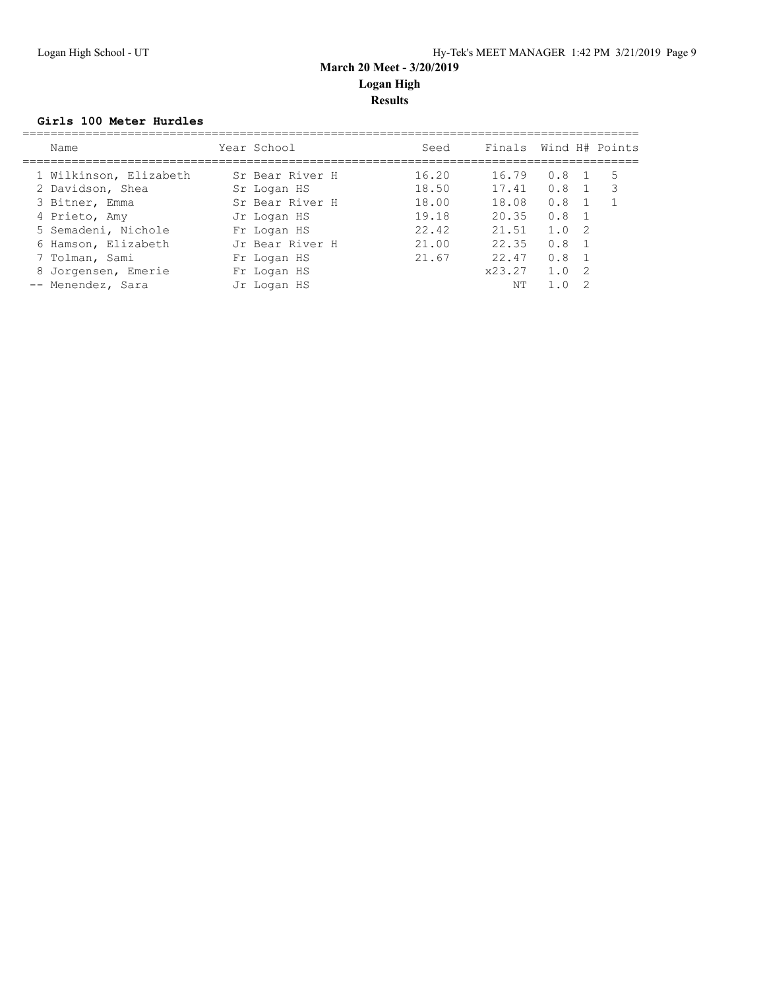#### **Girls 100 Meter Hurdles**

| Name                   | Year School     | Seed  | Finals Wind H# Points |     |                |     |
|------------------------|-----------------|-------|-----------------------|-----|----------------|-----|
| 1 Wilkinson, Elizabeth | Sr Bear River H | 16.20 | 16.79                 | 0.8 |                | -5  |
| 2 Davidson, Shea       | Sr Logan HS     | 18.50 | 17.41                 | 0.8 |                | - 3 |
| 3 Bitner, Emma         | Sr Bear River H | 18.00 | 18.08                 | 0.8 |                |     |
| 4 Prieto, Amy          | Jr Logan HS     | 19.18 | 20.35                 | 0.8 | $\overline{1}$ |     |
| 5 Semadeni, Nichole    | Fr Logan HS     | 22.42 | 21.51                 | 1.0 | - 2            |     |
| 6 Hamson, Elizabeth    | Jr Bear River H | 21.00 | 22.35                 | 0.8 |                |     |
| 7 Tolman, Sami         | Fr Logan HS     | 21.67 | 22.47                 | 0.8 |                |     |
| 8 Jorgensen, Emerie    | Fr Logan HS     |       | x23.27                | 1.0 | $\overline{2}$ |     |
| -- Menendez, Sara      | Jr Logan HS     |       | NΤ                    |     |                |     |
|                        |                 |       |                       |     |                |     |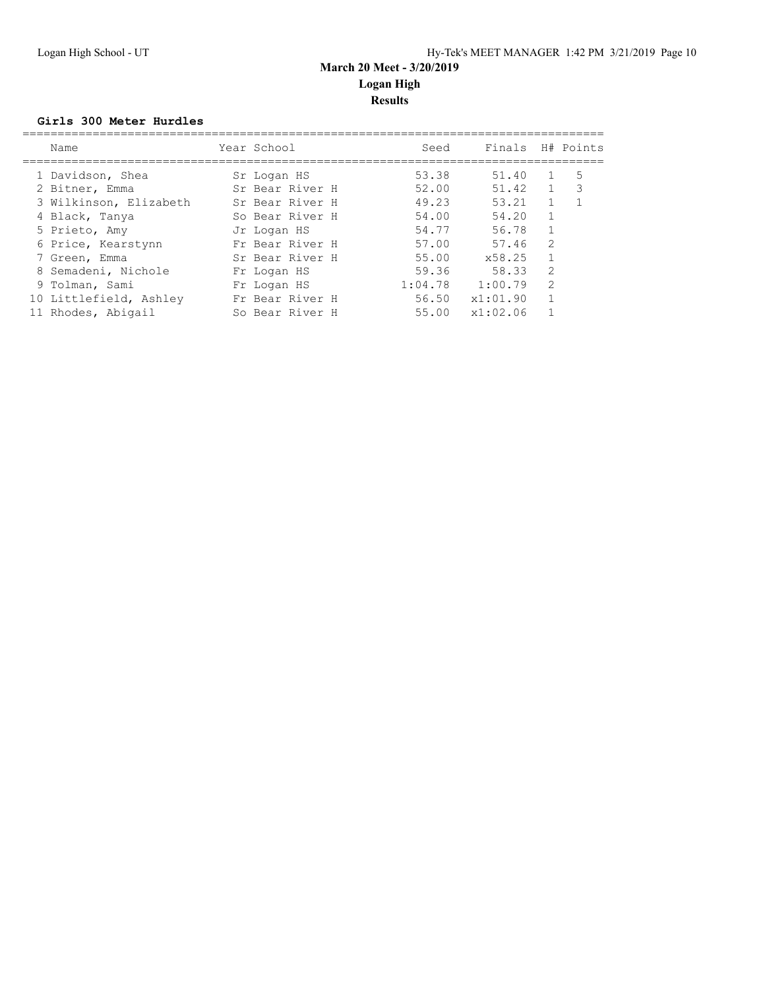#### **Girls 300 Meter Hurdles**

| Name                   | Year School     | Seed    | Finals   |                | H# Points |
|------------------------|-----------------|---------|----------|----------------|-----------|
| 1 Davidson, Shea       | Sr Logan HS     | 53.38   | 51.40    |                | 5         |
| 2 Bitner, Emma         | Sr Bear River H | 52.00   | 51.42    | $\mathbf{1}$   | -3        |
| 3 Wilkinson, Elizabeth | Sr Bear River H | 49.23   | 53.21    |                |           |
| 4 Black, Tanya         | So Bear River H | 54.00   | 54.20    |                |           |
| 5 Prieto, Amy          | Jr Logan HS     | 54.77   | 56.78    |                |           |
| 6 Price, Kearstynn     | Fr Bear River H | 57.00   | 57.46    | 2              |           |
| 7 Green, Emma          | Sr Bear River H | 55.00   | x58.25   | $\mathbf{1}$   |           |
| 8 Semadeni, Nichole    | Fr Logan HS     | 59.36   | 58.33    | 2              |           |
| 9 Tolman, Sami         | Fr Logan HS     | 1:04.78 | 1:00.79  | $\mathfrak{D}$ |           |
| 10 Littlefield, Ashley | Fr Bear River H | 56.50   | x1:01.90 | 1              |           |
| 11 Rhodes, Abigail     | So Bear River H | 55.00   | x1:02.06 |                |           |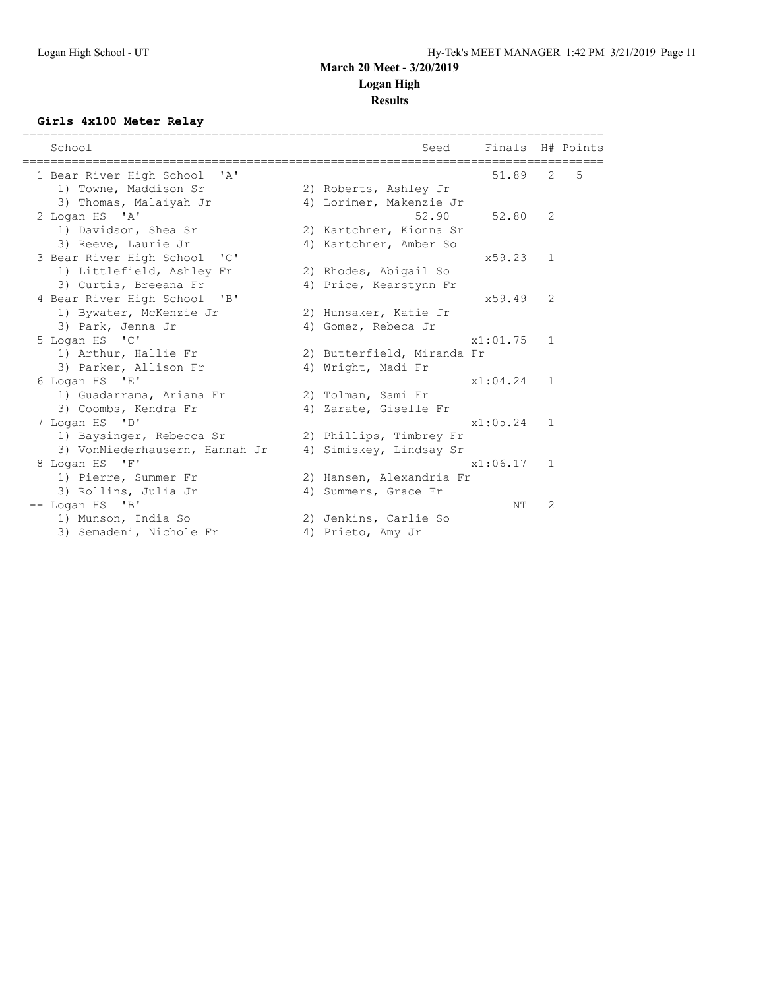# **Results**

#### **Girls 4x100 Meter Relay**

| School                                                      | Seed                       | Finals H# Points |              |   |
|-------------------------------------------------------------|----------------------------|------------------|--------------|---|
| 1 Bear River High School<br>$^{\prime}$ A $^{\prime}$       |                            | 51.89            | 2            | 5 |
| 1) Towne, Maddison Sr                                       | 2) Roberts, Ashley Jr      |                  |              |   |
| 3) Thomas, Malaiyah Jr                                      | 4) Lorimer, Makenzie Jr    |                  |              |   |
| 2 Logan HS 'A'                                              | 52.90                      | 52.80            | 2            |   |
| 1) Davidson, Shea Sr                                        | 2) Kartchner, Kionna Sr    |                  |              |   |
| 3) Reeve, Laurie Jr                                         | 4) Kartchner, Amber So     |                  |              |   |
| 3 Bear River High School 'C'                                |                            | x59.23           | 1            |   |
| 1) Littlefield, Ashley Fr                                   | 2) Rhodes, Abigail So      |                  |              |   |
| 3) Curtis, Breeana Fr                                       | 4) Price, Kearstynn Fr     |                  |              |   |
| 4 Bear River High School<br>$\mathbf{B}$                    |                            | x59.49           | 2            |   |
| 1) Bywater, McKenzie Jr                                     | 2) Hunsaker, Katie Jr      |                  |              |   |
| 3) Park, Jenna Jr                                           | 4) Gomez, Rebeca Jr        |                  |              |   |
| 5 Logan HS 'C'                                              |                            | x1:01.75         | $\mathbf{1}$ |   |
| 1) Arthur, Hallie Fr                                        | 2) Butterfield, Miranda Fr |                  |              |   |
| 3) Parker, Allison Fr                                       | 4) Wright, Madi Fr         |                  |              |   |
| 6 Logan HS 'E'                                              |                            | x1:04.24         | $\mathbf{1}$ |   |
| 1) Guadarrama, Ariana Fr                                    | 2) Tolman, Sami Fr         |                  |              |   |
| 3) Coombs, Kendra Fr                                        | 4) Zarate, Giselle Fr      |                  |              |   |
| 7 Logan HS 'D'                                              |                            | x1:05.24         | $\mathbf{1}$ |   |
| 1) Baysinger, Rebecca Sr                                    | 2) Phillips, Timbrey Fr    |                  |              |   |
| 3) VonNiederhausern, Hannah Jr                              | 4) Simiskey, Lindsay Sr    |                  |              |   |
| 8 Logan HS 'F'                                              |                            | x1:06.17         | $\mathbf{1}$ |   |
| 1) Pierre, Summer Fr                                        | 2) Hansen, Alexandria Fr   |                  |              |   |
| 3) Rollins, Julia Jr                                        | 4) Summers, Grace Fr       |                  |              |   |
| -- Logan HS<br>$^{\prime}$ B <sup><math>\prime</math></sup> |                            | NΤ               | 2            |   |
| 1) Munson, India So                                         | 2) Jenkins, Carlie So      |                  |              |   |
| 3) Semadeni, Nichole Fr                                     | 4) Prieto, Amy Jr          |                  |              |   |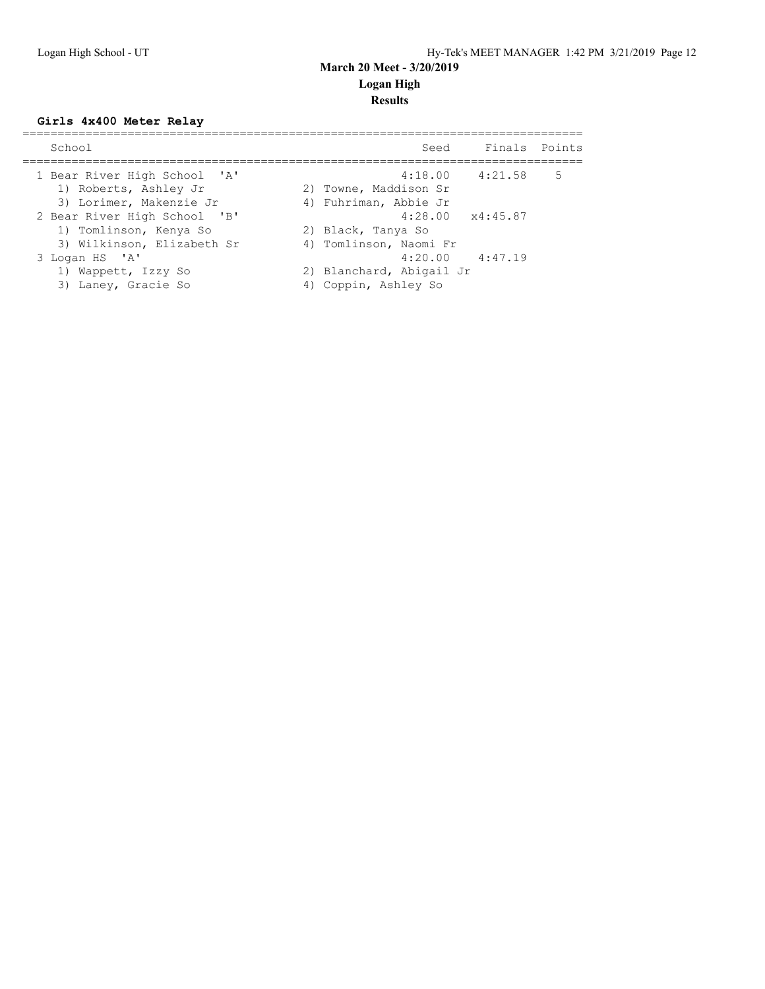#### **Girls 4x400 Meter Relay**

| School                                                                               | Finals Points<br>Seed                                                      |
|--------------------------------------------------------------------------------------|----------------------------------------------------------------------------|
| 1 Bear River High School 'A'<br>1) Roberts, Ashley Jr<br>3) Lorimer, Makenzie Jr     | $4:18.00$ $4:21.58$<br>5<br>2) Towne, Maddison Sr<br>4) Fuhriman, Abbie Jr |
| 2 Bear River High School 'B'<br>1) Tomlinson, Kenya So<br>3) Wilkinson, Elizabeth Sr | $4:28.00 \times 4:45.87$<br>2) Black, Tanya So<br>4) Tomlinson, Naomi Fr   |
| 3 Logan HS 'A'<br>1) Wappett, Izzy So<br>3)<br>Laney, Gracie So                      | $4:20.00$ $4:47.19$<br>2) Blanchard, Abigail Jr<br>Coppin, Ashley So       |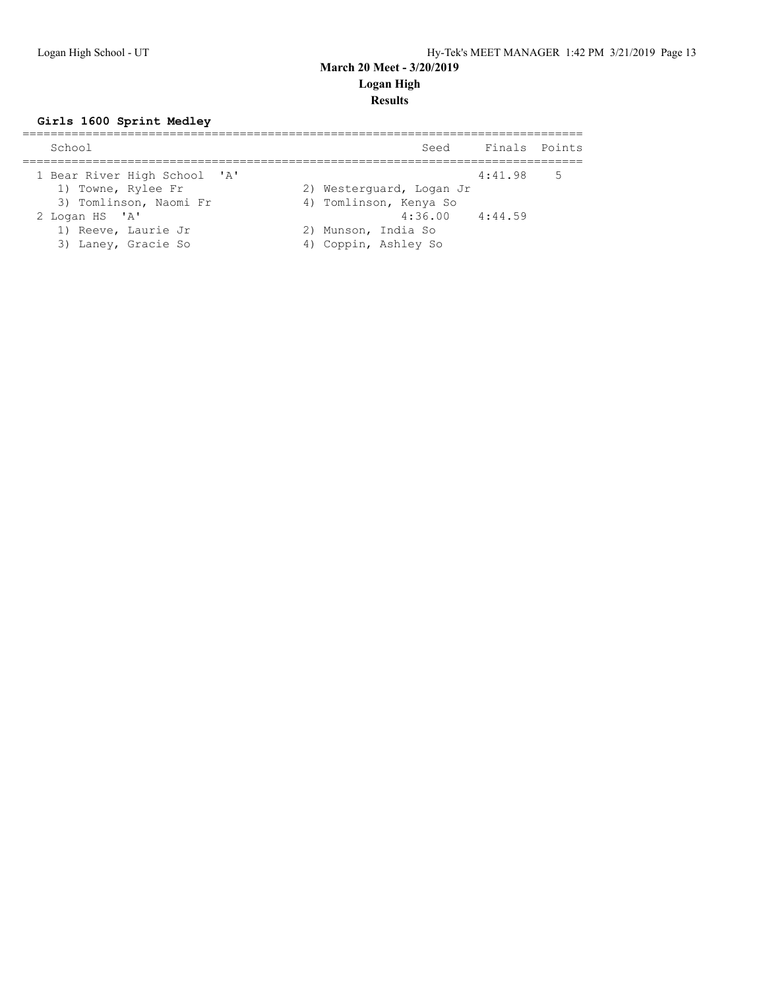## **Girls 1600 Sprint Medley**

| School                                                                       | Seed                                                               | Finals Points |   |
|------------------------------------------------------------------------------|--------------------------------------------------------------------|---------------|---|
| 1 Bear River High School 'A'<br>1) Towne, Rylee Fr<br>3) Tomlinson, Naomi Fr | 2) Westerquard, Logan Jr<br>4) Tomlinson, Kenya So                 | 4:41.98       | 5 |
| 2 Logan HS 'A'<br>1) Reeve, Laurie Jr<br>3) Laney, Gracie So                 | $4:36.00$ $4:44.59$<br>2) Munson, India So<br>4) Coppin, Ashley So |               |   |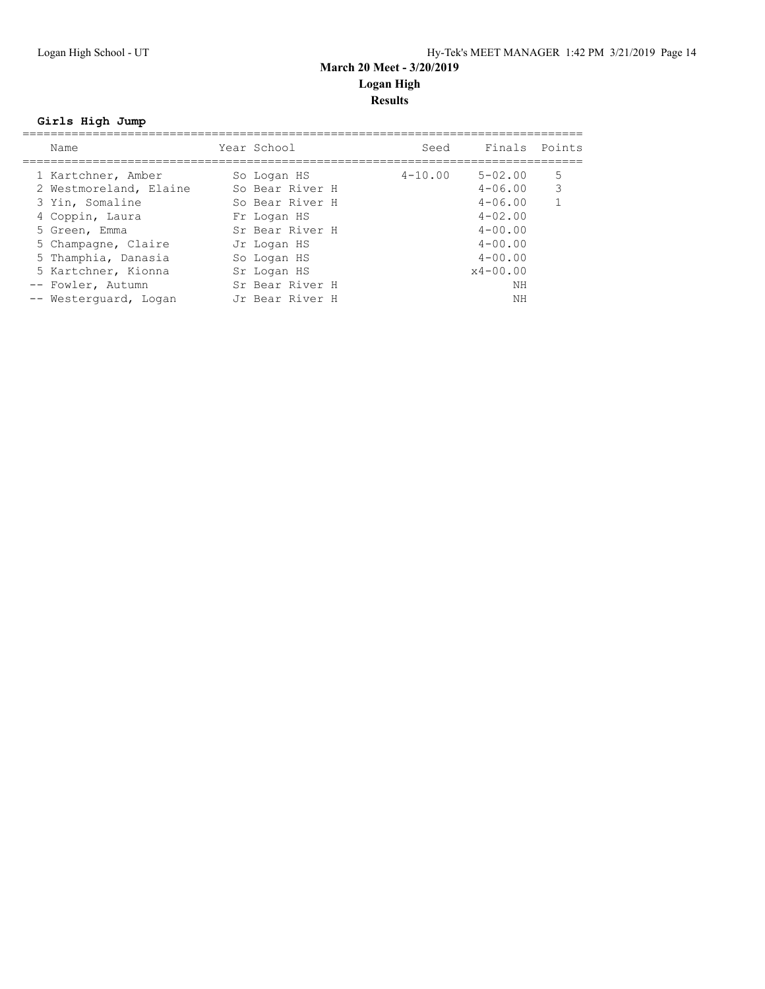## **Girls High Jump**

| Name                                         | Year School                    | Seed        | Finals Points              |        |
|----------------------------------------------|--------------------------------|-------------|----------------------------|--------|
| 1 Kartchner, Amber<br>2 Westmoreland, Elaine | So Logan HS<br>So Bear River H | $4 - 10.00$ | $5 - 02.00$<br>$4 - 06.00$ | 5<br>3 |
| 3 Yin, Somaline                              | So Bear River H                |             | $4 - 06.00$                |        |
| 4 Coppin, Laura                              | Fr Logan HS                    |             | $4 - 02.00$                |        |
| 5 Green, Emma                                | Sr Bear River H                |             | $4 - 00.00$                |        |
| 5 Champagne, Claire                          | Jr Logan HS                    |             | $4 - 00.00$                |        |
| 5 Thamphia, Danasia                          | So Logan HS                    |             | $4 - 00.00$                |        |
| 5 Kartchner, Kionna                          | Sr Logan HS                    |             | $x4 - 00.00$               |        |
| -- Fowler, Autumn                            | Sr Bear River H                |             | ΝH                         |        |
| -- Westerquard, Logan                        | Jr Bear River H                |             | NΗ                         |        |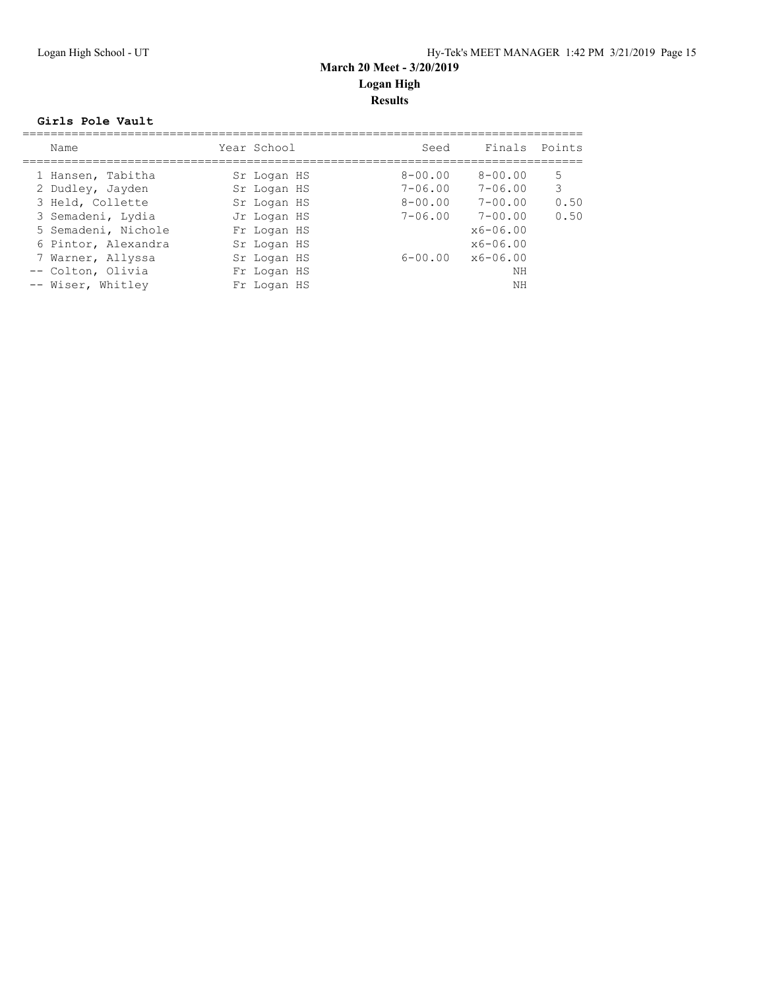#### **Girls Pole Vault**

| Name                | Year School | Seed                         | Finals       | Points |
|---------------------|-------------|------------------------------|--------------|--------|
| 1 Hansen, Tabitha   | Sr Logan HS | $8 - 00.00$                  | $8 - 00.00$  | 5      |
| 2 Dudley, Jayden    | Sr Logan HS | $7 - 06.00$                  | $7 - 06.00$  | 3      |
| 3 Held, Collette    | Sr Logan HS | $8 - 00.00$                  | $7 - 00.00$  | 0.50   |
| 3 Semadeni, Lydia   | Jr Logan HS | $7 - 06.00$                  | $7 - 00.00$  | 0.50   |
| 5 Semadeni, Nichole | Fr Logan HS |                              | $x6 - 06.00$ |        |
| 6 Pintor, Alexandra | Sr Logan HS |                              | $x6 - 06.00$ |        |
| 7 Warner, Allyssa   | Sr Logan HS | $6 - 00.00 \times 6 - 06.00$ |              |        |
| -- Colton, Olivia   | Fr Logan HS |                              | NΗ           |        |
| -- Wiser, Whitley   | Fr Logan HS |                              | NΗ           |        |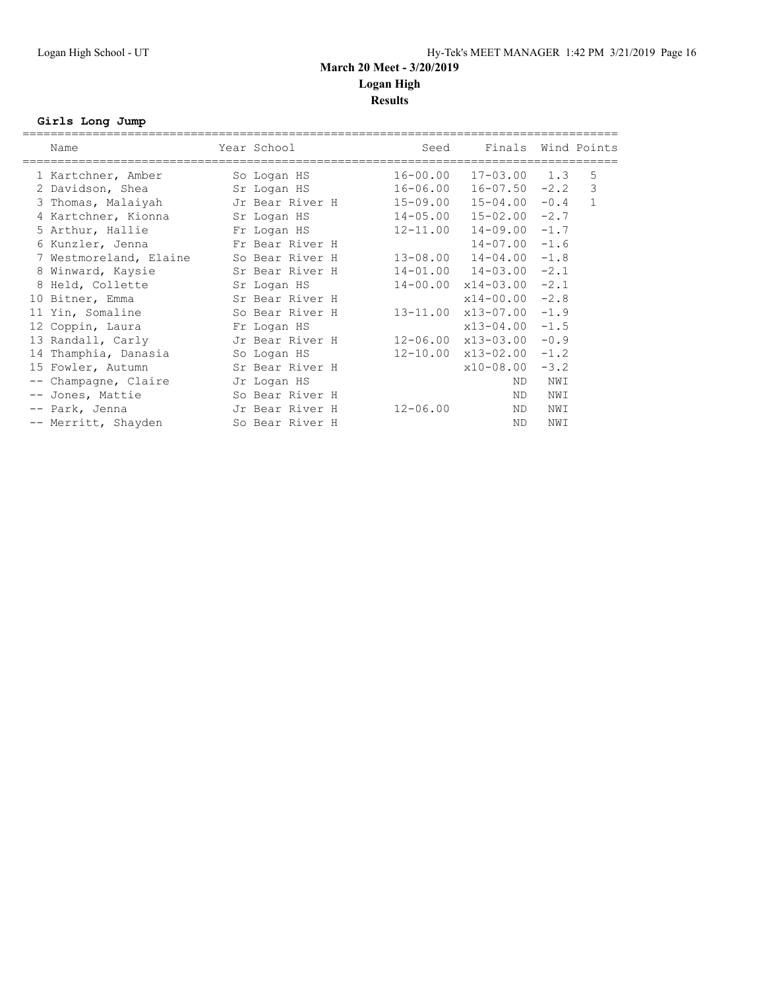## **Girls Long Jump**

| Name |                                                                                                                                                                                                                                                                                                                                                                                                                  | Seed                                                                                                                                                          |                                                                                                                                                                                                                              |                                                                                                          |                                                                                                                                                                                                                                                                                                                                                         |
|------|------------------------------------------------------------------------------------------------------------------------------------------------------------------------------------------------------------------------------------------------------------------------------------------------------------------------------------------------------------------------------------------------------------------|---------------------------------------------------------------------------------------------------------------------------------------------------------------|------------------------------------------------------------------------------------------------------------------------------------------------------------------------------------------------------------------------------|----------------------------------------------------------------------------------------------------------|---------------------------------------------------------------------------------------------------------------------------------------------------------------------------------------------------------------------------------------------------------------------------------------------------------------------------------------------------------|
|      |                                                                                                                                                                                                                                                                                                                                                                                                                  |                                                                                                                                                               |                                                                                                                                                                                                                              |                                                                                                          | 5                                                                                                                                                                                                                                                                                                                                                       |
|      |                                                                                                                                                                                                                                                                                                                                                                                                                  |                                                                                                                                                               |                                                                                                                                                                                                                              |                                                                                                          | 3                                                                                                                                                                                                                                                                                                                                                       |
|      |                                                                                                                                                                                                                                                                                                                                                                                                                  |                                                                                                                                                               |                                                                                                                                                                                                                              |                                                                                                          | $\mathbf{1}$                                                                                                                                                                                                                                                                                                                                            |
|      |                                                                                                                                                                                                                                                                                                                                                                                                                  |                                                                                                                                                               |                                                                                                                                                                                                                              |                                                                                                          |                                                                                                                                                                                                                                                                                                                                                         |
|      |                                                                                                                                                                                                                                                                                                                                                                                                                  |                                                                                                                                                               |                                                                                                                                                                                                                              |                                                                                                          |                                                                                                                                                                                                                                                                                                                                                         |
|      |                                                                                                                                                                                                                                                                                                                                                                                                                  |                                                                                                                                                               |                                                                                                                                                                                                                              | $-1.6$                                                                                                   |                                                                                                                                                                                                                                                                                                                                                         |
|      |                                                                                                                                                                                                                                                                                                                                                                                                                  |                                                                                                                                                               |                                                                                                                                                                                                                              |                                                                                                          |                                                                                                                                                                                                                                                                                                                                                         |
|      |                                                                                                                                                                                                                                                                                                                                                                                                                  |                                                                                                                                                               |                                                                                                                                                                                                                              | $-2.1$                                                                                                   |                                                                                                                                                                                                                                                                                                                                                         |
|      |                                                                                                                                                                                                                                                                                                                                                                                                                  |                                                                                                                                                               |                                                                                                                                                                                                                              | $-2.1$                                                                                                   |                                                                                                                                                                                                                                                                                                                                                         |
|      |                                                                                                                                                                                                                                                                                                                                                                                                                  |                                                                                                                                                               |                                                                                                                                                                                                                              | $-2.8$                                                                                                   |                                                                                                                                                                                                                                                                                                                                                         |
|      |                                                                                                                                                                                                                                                                                                                                                                                                                  |                                                                                                                                                               |                                                                                                                                                                                                                              | $-1.9$                                                                                                   |                                                                                                                                                                                                                                                                                                                                                         |
|      |                                                                                                                                                                                                                                                                                                                                                                                                                  |                                                                                                                                                               |                                                                                                                                                                                                                              | $-1.5$                                                                                                   |                                                                                                                                                                                                                                                                                                                                                         |
|      |                                                                                                                                                                                                                                                                                                                                                                                                                  |                                                                                                                                                               |                                                                                                                                                                                                                              | $-0.9$                                                                                                   |                                                                                                                                                                                                                                                                                                                                                         |
|      |                                                                                                                                                                                                                                                                                                                                                                                                                  |                                                                                                                                                               |                                                                                                                                                                                                                              | $-1.2$                                                                                                   |                                                                                                                                                                                                                                                                                                                                                         |
|      |                                                                                                                                                                                                                                                                                                                                                                                                                  |                                                                                                                                                               |                                                                                                                                                                                                                              | $-3.2$                                                                                                   |                                                                                                                                                                                                                                                                                                                                                         |
|      |                                                                                                                                                                                                                                                                                                                                                                                                                  |                                                                                                                                                               | ND.                                                                                                                                                                                                                          | NWI                                                                                                      |                                                                                                                                                                                                                                                                                                                                                         |
|      |                                                                                                                                                                                                                                                                                                                                                                                                                  |                                                                                                                                                               | ND.                                                                                                                                                                                                                          | NWI                                                                                                      |                                                                                                                                                                                                                                                                                                                                                         |
|      |                                                                                                                                                                                                                                                                                                                                                                                                                  | $12 - 06.00$                                                                                                                                                  | ND.                                                                                                                                                                                                                          | NWI                                                                                                      |                                                                                                                                                                                                                                                                                                                                                         |
|      |                                                                                                                                                                                                                                                                                                                                                                                                                  |                                                                                                                                                               | ND                                                                                                                                                                                                                           | NWI                                                                                                      |                                                                                                                                                                                                                                                                                                                                                         |
|      | 1 Kartchner, Amber<br>2 Davidson, Shea<br>3 Thomas, Malaiyah<br>4 Kartchner, Kionna<br>5 Arthur, Hallie<br>6 Kunzler, Jenna<br>7 Westmoreland, Elaine<br>8 Winward, Kaysie<br>8 Held, Collette<br>10 Bitner, Emma<br>11 Yin, Somaline<br>12 Coppin, Laura<br>13 Randall, Carly<br>14 Thamphia, Danasia<br>15 Fowler, Autumn<br>-- Champagne, Claire<br>-- Jones, Mattie<br>-- Park, Jenna<br>-- Merritt, Shayden | =====================================<br>Year School<br>So Logan HS<br>Sr Logan HS<br>Sr Logan HS<br>Sr Logan HS<br>Fr Logan HS<br>So Logan HS<br>Jr Logan HS | Jr Bear River H<br>Fr Logan HS<br>Fr Bear River H<br>So Bear River H<br>Sr Bear River H<br>Sr Bear River H<br>So Bear River H<br>Jr Bear River H<br>Sr Bear River H<br>So Bear River H<br>Jr Bear River H<br>So Bear River H | $16 - 00.00$<br>$16 - 06.00$<br>15-09.00<br>$14 - 05.00$<br>$12 - 11.00$<br>$13 - 08.00$<br>$14 - 00.00$ | Finals Wind Points<br>$17 - 03.00$ $1.3$<br>$16 - 07.50 - 2.2$<br>$15 - 04.00 - 0.4$<br>$15 - 02.00 - 2.7$<br>$14 - 09.00 - 1.7$<br>$14 - 07.00$<br>$14 - 04.00 - 1.8$<br>$14 - 01.00$ $14 - 03.00$<br>$x14-03.00$<br>$x14 - 00.00$<br>13-11.00 x13-07.00<br>x13-04.00<br>$12 - 06.00 \times 13 - 03.00$<br>$12 - 10.00 \times 13 - 02.00$<br>x10-08.00 |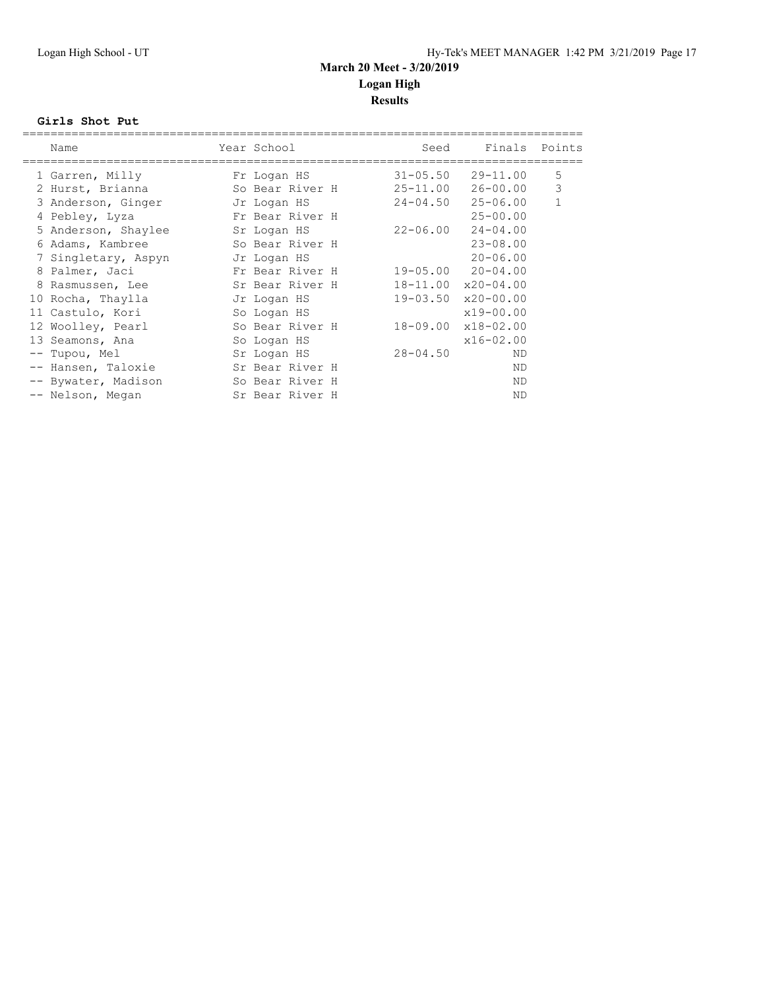#### **Girls Shot Put**

|   | Name                | Year School     | Seed         | Finals Points                  |              |
|---|---------------------|-----------------|--------------|--------------------------------|--------------|
|   | 1 Garren, Milly     | Fr Logan HS     |              | $31 - 05.50$ $29 - 11.00$      | 5            |
|   | 2 Hurst, Brianna    | So Bear River H | $25 - 11.00$ | 26-00.00                       | 3            |
|   | 3 Anderson, Ginger  | Jr Logan HS     | $24 - 04.50$ | $25 - 06.00$                   | $\mathbf{1}$ |
|   | 4 Pebley, Lyza      | Fr Bear River H |              | $25 - 00.00$                   |              |
|   | 5 Anderson, Shaylee | Sr Logan HS     | 22-06.00     | $24 - 04.00$                   |              |
|   | 6 Adams, Kambree    | So Bear River H |              | $23 - 08.00$                   |              |
|   | 7 Singletary, Aspyn | Jr Logan HS     |              | $20 - 06.00$                   |              |
|   | 8 Palmer, Jaci      | Fr Bear River H |              | $19 - 05.00$ $20 - 04.00$      |              |
| 8 | Rasmussen, Lee      | Sr Bear River H |              | $18 - 11.00 \times 20 - 04.00$ |              |
|   | 10 Rocha, Thaylla   | Jr Logan HS     |              | $19 - 03.50 \times 20 - 00.00$ |              |
|   | 11 Castulo, Kori    | So Logan HS     |              | $x19 - 00.00$                  |              |
|   | 12 Woolley, Pearl   | So Bear River H |              | 18-09.00 x18-02.00             |              |
|   | 13 Seamons, Ana     | So Logan HS     |              | $x16 - 02.00$                  |              |
|   | -- Tupou, Mel       | Sr Logan HS     | $28 - 04.50$ | <b>ND</b>                      |              |
|   | -- Hansen, Taloxie  | Sr Bear River H |              | ND.                            |              |
|   | -- Bywater, Madison | So Bear River H |              | ND.                            |              |
|   | -- Nelson, Megan    | Sr Bear River H |              | ND                             |              |
|   |                     |                 |              |                                |              |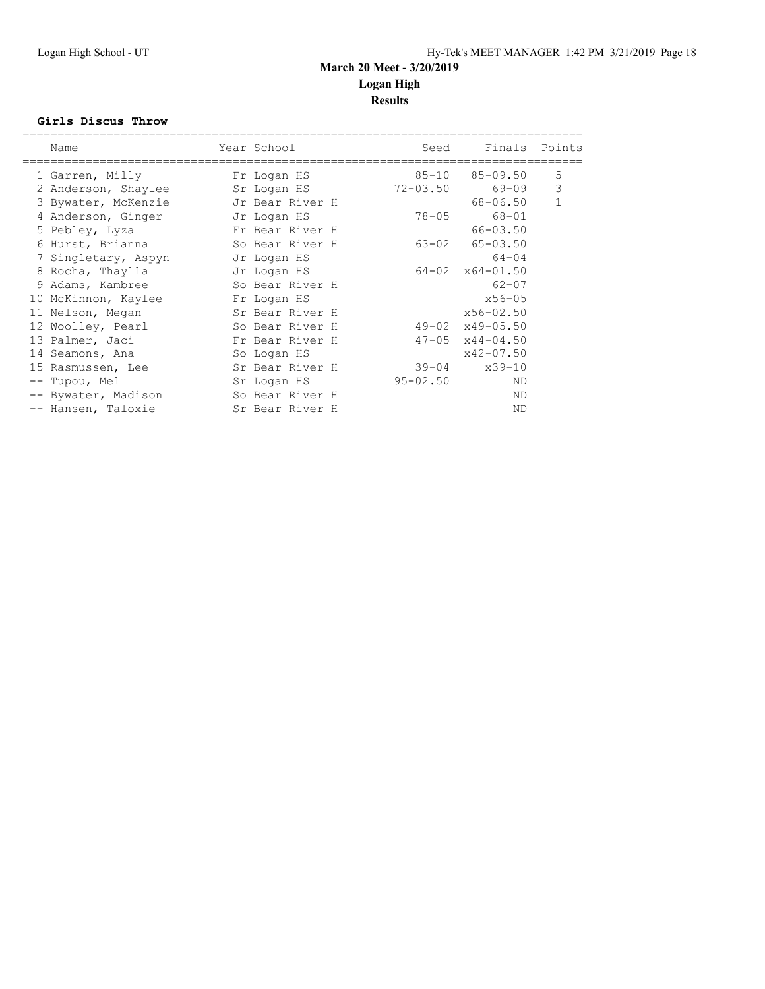#### **Girls Discus Throw**

| Name                | Year School     | Seed         | Finals Points               |              |
|---------------------|-----------------|--------------|-----------------------------|--------------|
| 1 Garren, Milly     | Fr Logan HS     | $85 - 10$    | $85 - 09.50$                | 5            |
| 2 Anderson, Shaylee | Sr Logan HS     |              | 72-03.50 69-09              | 3            |
| 3 Bywater, McKenzie | Jr Bear River H |              | 68-06.50                    | $\mathbf{1}$ |
| 4 Anderson, Ginger  | Jr Logan HS     | 78-05        | 68-01                       |              |
| 5 Pebley, Lyza      | Fr Bear River H |              | $66 - 03.50$                |              |
| 6 Hurst, Brianna    | So Bear River H |              | $63 - 02$ $65 - 03.50$      |              |
| 7 Singletary, Aspyn | Jr Logan HS     |              | $64 - 04$                   |              |
| 8 Rocha, Thaylla    | Jr Logan HS     |              | $64 - 02 \times 64 - 01.50$ |              |
| 9 Adams, Kambree    | So Bear River H |              | $62 - 07$                   |              |
| 10 McKinnon, Kaylee | Fr Logan HS     |              | $x56 - 05$                  |              |
| 11 Nelson, Megan    | Sr Bear River H |              | $x56 - 02.50$               |              |
| 12 Woolley, Pearl   | So Bear River H |              | $49 - 02 \times 49 - 05.50$ |              |
| 13 Palmer, Jaci     | Fr Bear River H |              | $47 - 05 \times 44 - 04.50$ |              |
| 14 Seamons, Ana     | So Logan HS     |              | $x42 - 07.50$               |              |
| 15 Rasmussen, Lee   | Sr Bear River H |              | $39 - 04$ $x39 - 10$        |              |
| -- Tupou, Mel       | Sr Logan HS     | $95 - 02.50$ | ND                          |              |
| -- Bywater, Madison | So Bear River H |              | ND                          |              |
| -- Hansen, Taloxie  | Sr Bear River H |              | <b>ND</b>                   |              |
|                     |                 |              |                             |              |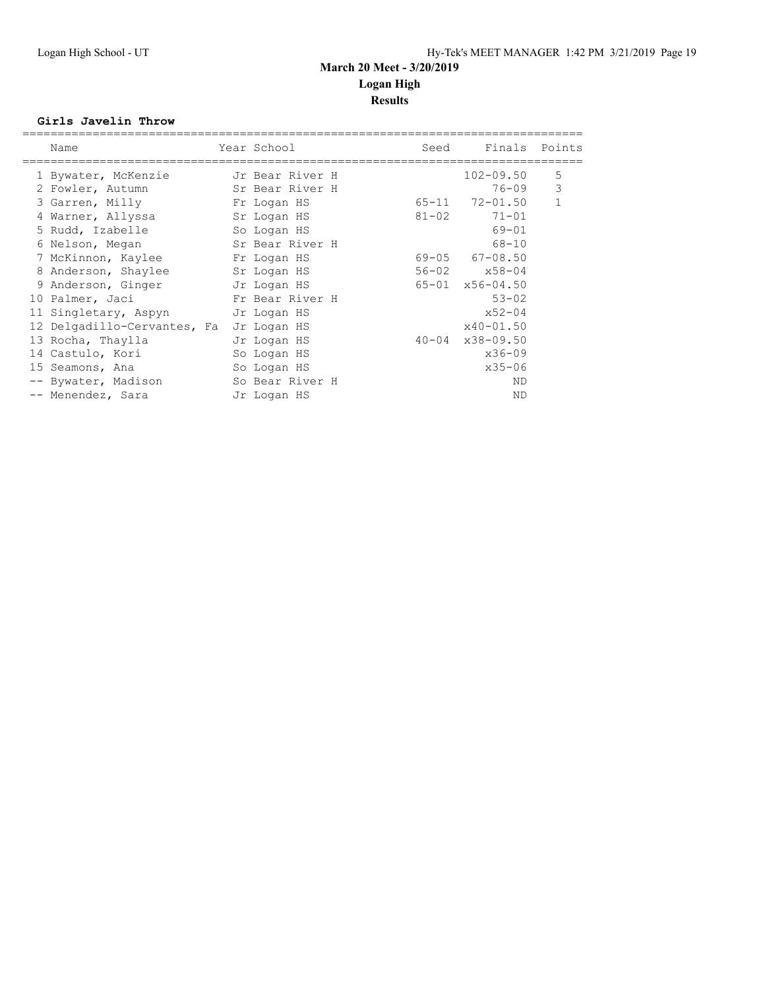#### **Girls Javelin Throw**

| Name                        | Year School     | Seed      | Finals                      | Points |
|-----------------------------|-----------------|-----------|-----------------------------|--------|
| 1 Bywater, McKenzie         | Jr Bear River H |           | $102 - 09.50$               | 5      |
| 2 Fowler, Autumn            | Sr Bear River H |           | $76 - 09$                   | 3      |
| 3 Garren, Milly             | Fr Logan HS     | 65-11     | 72-01.50                    | 1      |
| 4 Warner, Allyssa           | Sr Logan HS     | $81 - 02$ | $71 - 01$                   |        |
| 5 Rudd, Izabelle            | So Logan HS     |           | $69 - 01$                   |        |
| 6 Nelson, Megan             | Sr Bear River H |           | $68 - 10$                   |        |
| 7 McKinnon, Kaylee          | Fr Logan HS     |           | $69 - 05$ $67 - 08.50$      |        |
| 8 Anderson, Shaylee         | Sr Logan HS     |           | $56 - 02$ $x58 - 04$        |        |
| 9 Anderson, Ginger          | Jr Logan HS     |           | $65 - 01 \times 56 - 04.50$ |        |
| 10 Palmer, Jaci             | Fr Bear River H |           | $53 - 02$                   |        |
| 11 Singletary, Aspyn        | Jr Logan HS     |           | $x52 - 04$                  |        |
| 12 Delgadillo-Cervantes, Fa | Jr Logan HS     |           | $x40 - 01.50$               |        |
| 13 Rocha, Thaylla           | Jr Logan HS     |           | $40 - 04$ $x38 - 09.50$     |        |
| 14 Castulo, Kori            | So Logan HS     |           | $x36 - 09$                  |        |
| 15 Seamons, Ana             | So Logan HS     |           | $x35 - 06$                  |        |
| -- Bywater, Madison         | So Bear River H |           | ND                          |        |
| -- Menendez, Sara           | Jr Logan HS     |           | <b>ND</b>                   |        |
|                             |                 |           |                             |        |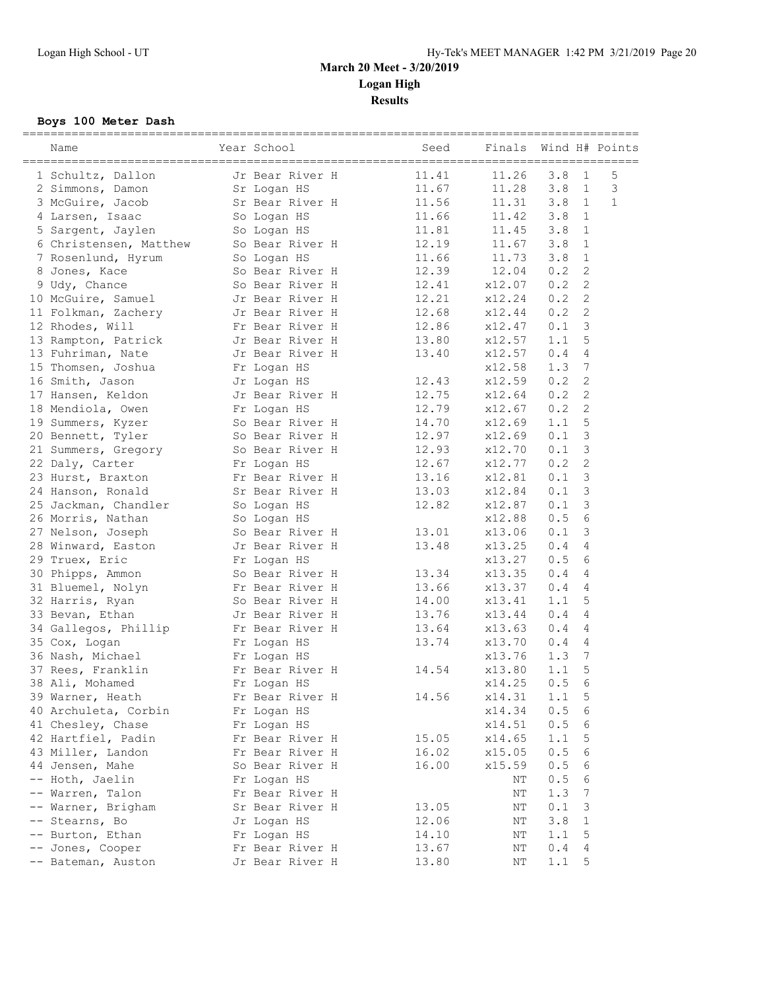## **Boys 100 Meter Dash**

|      | Name                   | Year School     | Seed  | Finals |     |                | Wind H# Points |
|------|------------------------|-----------------|-------|--------|-----|----------------|----------------|
|      | 1 Schultz, Dallon      | Jr Bear River H | 11.41 | 11.26  | 3.8 | 1              | 5              |
|      | 2 Simmons, Damon       | Sr Logan HS     | 11.67 | 11.28  | 3.8 | $\mathbf{1}$   | 3              |
|      | 3 McGuire, Jacob       | Sr Bear River H | 11.56 | 11.31  | 3.8 | 1              | $\mathbf{1}$   |
|      | 4 Larsen, Isaac        | So Logan HS     | 11.66 | 11.42  | 3.8 | 1              |                |
|      | 5 Sargent, Jaylen      | So Logan HS     | 11.81 | 11.45  | 3.8 | 1              |                |
|      | 6 Christensen, Matthew | So Bear River H | 12.19 | 11.67  | 3.8 | 1              |                |
|      | 7 Rosenlund, Hyrum     | So Logan HS     | 11.66 | 11.73  | 3.8 | 1              |                |
|      | 8 Jones, Kace          | So Bear River H | 12.39 | 12.04  | 0.2 | 2              |                |
|      | 9 Udy, Chance          | So Bear River H | 12.41 | x12.07 | 0.2 | 2              |                |
|      | 10 McGuire, Samuel     | Jr Bear River H | 12.21 | x12.24 | 0.2 | 2              |                |
|      | 11 Folkman, Zachery    | Jr Bear River H | 12.68 | x12.44 | 0.2 | 2              |                |
|      | 12 Rhodes, Will        | Fr Bear River H | 12.86 | x12.47 | 0.1 | 3              |                |
|      | 13 Rampton, Patrick    | Jr Bear River H | 13.80 | x12.57 | 1.1 | 5              |                |
|      | 13 Fuhriman, Nate      | Jr Bear River H | 13.40 | x12.57 | 0.4 | 4              |                |
|      | 15 Thomsen, Joshua     | Fr Logan HS     |       | x12.58 | 1.3 | 7              |                |
|      | 16 Smith, Jason        | Jr Logan HS     | 12.43 | x12.59 | 0.2 | 2              |                |
|      | 17 Hansen, Keldon      | Jr Bear River H | 12.75 | x12.64 | 0.2 | 2              |                |
|      | 18 Mendiola, Owen      | Fr Logan HS     | 12.79 | x12.67 | 0.2 | $\overline{c}$ |                |
|      | 19 Summers, Kyzer      | So Bear River H | 14.70 | x12.69 | 1.1 | 5              |                |
|      | 20 Bennett, Tyler      | So Bear River H | 12.97 | x12.69 | 0.1 | 3              |                |
|      | 21 Summers, Gregory    | So Bear River H | 12.93 | x12.70 | 0.1 | 3              |                |
|      | 22 Daly, Carter        | Fr Logan HS     | 12.67 | x12.77 | 0.2 | 2              |                |
|      | 23 Hurst, Braxton      | Fr Bear River H | 13.16 | x12.81 | 0.1 | 3              |                |
|      | 24 Hanson, Ronald      | Sr Bear River H | 13.03 | x12.84 | 0.1 | 3              |                |
|      | 25 Jackman, Chandler   | So Logan HS     | 12.82 | x12.87 | 0.1 | $\mathcal{S}$  |                |
|      | 26 Morris, Nathan      | So Logan HS     |       | x12.88 | 0.5 | 6              |                |
|      | 27 Nelson, Joseph      | So Bear River H | 13.01 | x13.06 | 0.1 | 3              |                |
|      | 28 Winward, Easton     | Jr Bear River H | 13.48 | x13.25 | 0.4 | 4              |                |
|      | 29 Truex, Eric         | Fr Logan HS     |       | x13.27 | 0.5 | 6              |                |
|      | 30 Phipps, Ammon       | So Bear River H | 13.34 | x13.35 | 0.4 | 4              |                |
|      | 31 Bluemel, Nolyn      | Fr Bear River H | 13.66 | x13.37 | 0.4 | 4              |                |
|      | 32 Harris, Ryan        | So Bear River H | 14.00 | x13.41 | 1.1 | 5              |                |
|      | 33 Bevan, Ethan        | Jr Bear River H | 13.76 | x13.44 | 0.4 | 4              |                |
|      | 34 Gallegos, Phillip   | Fr Bear River H | 13.64 | x13.63 | 0.4 | 4              |                |
|      | 35 Cox, Logan          | Fr Logan HS     | 13.74 | x13.70 | 0.4 | 4              |                |
|      | 36 Nash, Michael       | Fr Logan HS     |       | x13.76 | 1.3 | 7              |                |
|      | 37 Rees, Franklin      | Fr Bear River H | 14.54 | x13.80 | 1.1 | 5              |                |
|      | 38 Ali, Mohamed        | Fr Logan HS     |       | x14.25 | 0.5 | 6              |                |
|      | 39 Warner, Heath       | Fr Bear River H | 14.56 | x14.31 | 1.1 | 5              |                |
|      | 40 Archuleta, Corbin   | Fr Logan HS     |       | x14.34 | 0.5 | 6              |                |
|      | 41 Chesley, Chase      | Fr Logan HS     |       | x14.51 | 0.5 | 6              |                |
|      | 42 Hartfiel, Padin     | Fr Bear River H | 15.05 | x14.65 | 1.1 | 5              |                |
|      | 43 Miller, Landon      | Fr Bear River H | 16.02 | x15.05 | 0.5 | 6              |                |
|      | 44 Jensen, Mahe        | So Bear River H | 16.00 | x15.59 | 0.5 | 6              |                |
|      | -- Hoth, Jaelin        | Fr Logan HS     |       | ΝT     | 0.5 | 6              |                |
| $--$ | Warren, Talon          | Fr Bear River H |       | ΝT     | 1.3 | 7              |                |
|      | -- Warner, Brigham     | Sr Bear River H | 13.05 | ΝT     | 0.1 | 3              |                |
|      | -- Stearns, Bo         | Jr Logan HS     | 12.06 | ΝT     | 3.8 | 1              |                |
|      | -- Burton, Ethan       | Fr Logan HS     | 14.10 | ΝT     | 1.1 | 5              |                |
|      | -- Jones, Cooper       | Fr Bear River H | 13.67 | ΝT     | 0.4 | 4              |                |
|      | -- Bateman, Auston     | Jr Bear River H | 13.80 | ΝT     | 1.1 | 5              |                |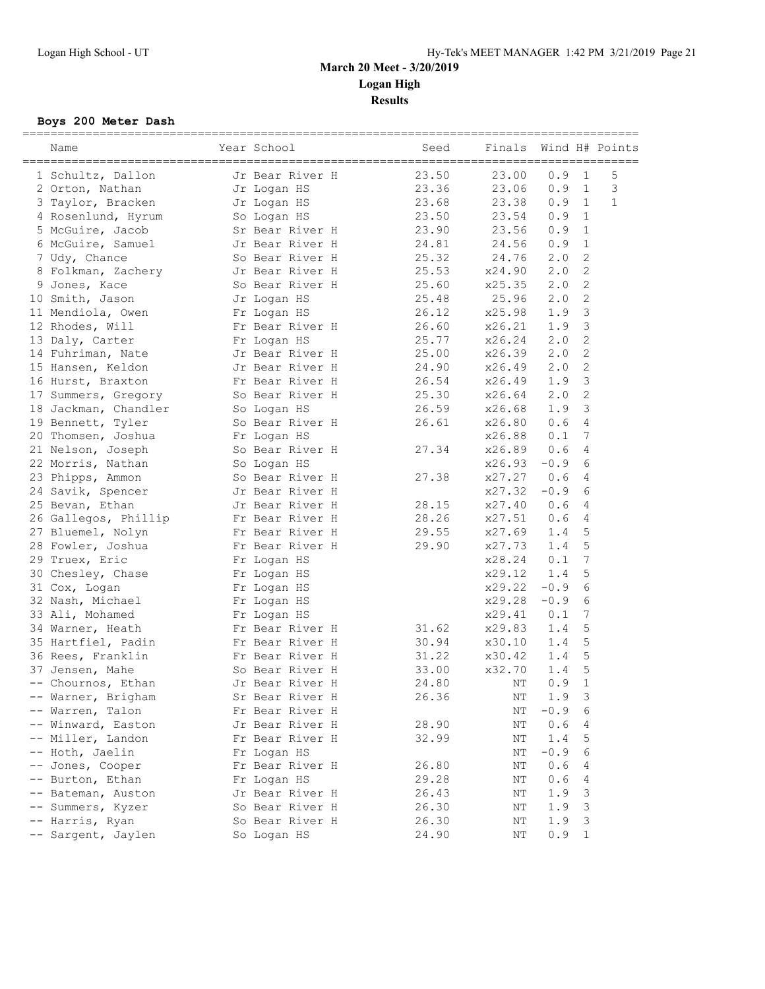## **Boys 200 Meter Dash**

|                   | Name                 | Year School     | Seed  | Finals    |        |                | Wind H# Points |
|-------------------|----------------------|-----------------|-------|-----------|--------|----------------|----------------|
|                   |                      |                 |       |           |        |                |                |
|                   | 1 Schultz, Dallon    | Jr Bear River H | 23.50 | 23.00     | 0.9    | $\mathbf{1}$   | 5              |
|                   | 2 Orton, Nathan      | Jr Logan HS     | 23.36 | 23.06     | 0.9    | $\mathbf{1}$   | 3              |
|                   | 3 Taylor, Bracken    | Jr Logan HS     | 23.68 | 23.38     | 0.9    | 1              | $\mathbf{1}$   |
|                   | 4 Rosenlund, Hyrum   | So Logan HS     | 23.50 | 23.54     | 0.9    | $\mathbf{1}$   |                |
|                   | 5 McGuire, Jacob     | Sr Bear River H | 23.90 | 23.56     | 0.9    | 1              |                |
|                   | 6 McGuire, Samuel    | Jr Bear River H | 24.81 | 24.56     | 0.9    | 1              |                |
|                   | 7 Udy, Chance        | So Bear River H | 25.32 | 24.76     | 2.0    | 2              |                |
|                   | 8 Folkman, Zachery   | Jr Bear River H | 25.53 | x24.90    | 2.0    | $\overline{c}$ |                |
|                   | 9 Jones, Kace        | So Bear River H | 25.60 | x25.35    | 2.0    | 2              |                |
|                   | 10 Smith, Jason      | Jr Logan HS     | 25.48 | 25.96     | 2.0    | 2              |                |
|                   | 11 Mendiola, Owen    | Fr Logan HS     | 26.12 | x25.98    | 1.9    | 3              |                |
|                   | 12 Rhodes, Will      | Fr Bear River H | 26.60 | x26.21    | 1.9    | 3              |                |
|                   | 13 Daly, Carter      | Fr Logan HS     | 25.77 | x26.24    | 2.0    | $\overline{c}$ |                |
|                   | 14 Fuhriman, Nate    | Jr Bear River H | 25.00 | x26.39    | 2.0    | $\overline{c}$ |                |
|                   | 15 Hansen, Keldon    | Jr Bear River H | 24.90 | x26.49    | 2.0    | 2              |                |
|                   | 16 Hurst, Braxton    | Fr Bear River H | 26.54 | x26.49    | 1.9    | 3              |                |
|                   | 17 Summers, Gregory  | So Bear River H | 25.30 | x26.64    | 2.0    | 2              |                |
|                   | 18 Jackman, Chandler | So Logan HS     | 26.59 | x26.68    | 1.9    | 3              |                |
|                   | 19 Bennett, Tyler    | So Bear River H | 26.61 | x26.80    | 0.6    | 4              |                |
|                   | 20 Thomsen, Joshua   | Fr Logan HS     |       | x26.88    | 0.1    | 7              |                |
|                   | 21 Nelson, Joseph    | So Bear River H | 27.34 | x26.89    | 0.6    | 4              |                |
|                   | 22 Morris, Nathan    | So Logan HS     |       | x26.93    | $-0.9$ | 6              |                |
|                   | 23 Phipps, Ammon     | So Bear River H | 27.38 | x27.27    | 0.6    | 4              |                |
|                   | 24 Savik, Spencer    | Jr Bear River H |       | x27.32    | $-0.9$ | 6              |                |
|                   | 25 Bevan, Ethan      | Jr Bear River H | 28.15 | x27.40    | 0.6    | 4              |                |
|                   | 26 Gallegos, Phillip | Fr Bear River H | 28.26 | x27.51    | 0.6    | 4              |                |
|                   | 27 Bluemel, Nolyn    | Fr Bear River H | 29.55 | x27.69    | 1.4    | 5              |                |
|                   | 28 Fowler, Joshua    | Fr Bear River H | 29.90 | x27.73    | 1.4    | 5              |                |
|                   | 29 Truex, Eric       | Fr Logan HS     |       | x28.24    | 0.1    | 7              |                |
|                   | 30 Chesley, Chase    | Fr Logan HS     |       | x29.12    | 1.4    | 5              |                |
|                   | 31 Cox, Logan        | Fr Logan HS     |       | x29.22    | $-0.9$ | 6              |                |
|                   | 32 Nash, Michael     | Fr Logan HS     |       | x29.28    | $-0.9$ | 6              |                |
|                   | 33 Ali, Mohamed      | Fr Logan HS     |       | x29.41    | 0.1    | 7              |                |
|                   | 34 Warner, Heath     | Fr Bear River H | 31.62 | x29.83    | 1.4    | 5              |                |
|                   | 35 Hartfiel, Padin   | Fr Bear River H | 30.94 | x30.10    | 1.4    | 5              |                |
|                   | 36 Rees, Franklin    | Fr Bear River H | 31.22 | x30.42    | 1.4    | 5              |                |
|                   | 37 Jensen, Mahe      | So Bear River H | 33.00 | x32.70    | 1.4    | 5              |                |
|                   | -- Chournos, Ethan   | Jr Bear River H | 24.80 | NΤ        | 0.9    | $\mathbf{1}$   |                |
|                   | -- Warner, Brigham   | Sr Bear River H | 26.36 | NΤ        | 1.9    | 3              |                |
|                   | Warren, Talon        | Fr Bear River H |       | $\rm{NT}$ | $-0.9$ | 6              |                |
|                   | Winward, Easton      | Jr Bear River H | 28.90 | NΤ        | 0.6    | 4              |                |
| $--$              | Miller, Landon       | Fr Bear River H | 32.99 | $\rm{NT}$ | 1.4    | 5              |                |
|                   | -- Hoth, Jaelin      | Fr Logan HS     |       | NΤ        | $-0.9$ | 6              |                |
| $\qquad \qquad -$ | Jones, Cooper        | Fr Bear River H | 26.80 | NΤ        | 0.6    | 4              |                |
|                   | Burton, Ethan        | Fr Logan HS     | 29.28 | NΤ        | 0.6    | 4              |                |
|                   | Bateman, Auston      | Jr Bear River H | 26.43 | NΤ        | 1.9    | 3              |                |
|                   | Summers, Kyzer       | So Bear River H | 26.30 | NΤ        | 1.9    | 3              |                |
|                   | -- Harris, Ryan      | So Bear River H | 26.30 | NΤ        | 1.9    | 3              |                |
|                   | -- Sargent, Jaylen   | So Logan HS     | 24.90 | NΤ        | 0.9    | 1              |                |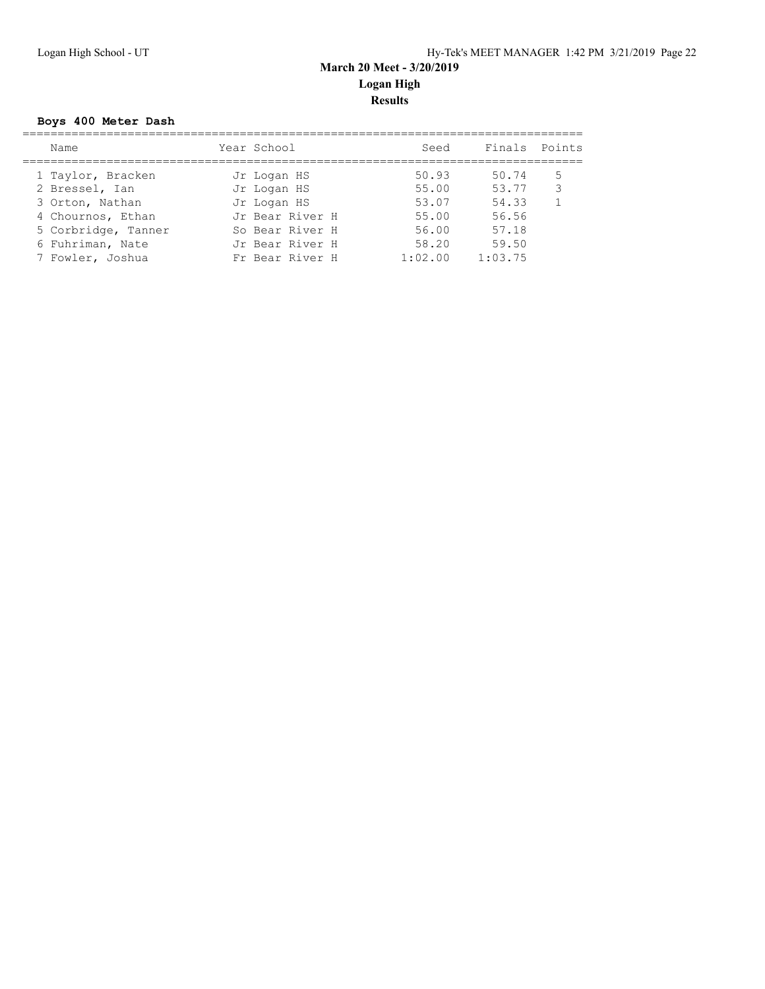## **Boys 400 Meter Dash**

| Name                | Year School     | Seed    | Finals Points |   |
|---------------------|-----------------|---------|---------------|---|
| 1 Taylor, Bracken   | Jr Logan HS     | 50.93   | 50.74         | 5 |
| 2 Bressel, Ian      | Jr Logan HS     | 55.00   | 53.77         | 3 |
| 3 Orton, Nathan     | Jr Logan HS     | 53.07   | 54.33         |   |
| 4 Chournos, Ethan   | Jr Bear River H | 55.00   | 56.56         |   |
| 5 Corbridge, Tanner | So Bear River H | 56.00   | 57.18         |   |
| 6 Fuhriman, Nate    | Jr Bear River H | 58.20   | 59.50         |   |
| 7 Fowler, Joshua    | Fr Bear River H | 1:02.00 | 1:03.75       |   |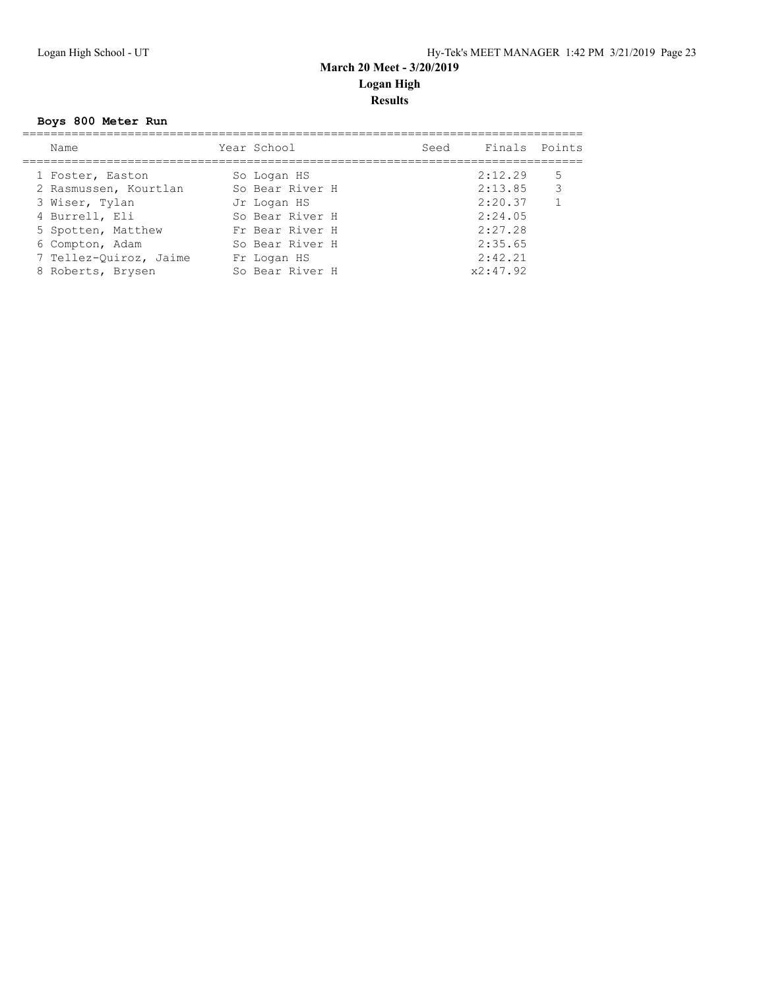## **Boys 800 Meter Run**

| Name                   | Year School     | Seed | Finals Points |              |
|------------------------|-----------------|------|---------------|--------------|
| 1 Foster, Easton       | So Logan HS     |      | 2:12.29       | 5            |
| 2 Rasmussen, Kourtlan  | So Bear River H |      | 2:13.85       | 3            |
| 3 Wiser, Tylan         | Jr Logan HS     |      | 2:20.37       | $\mathbf{1}$ |
| 4 Burrell, Eli         | So Bear River H |      | 2:24.05       |              |
| 5 Spotten, Matthew     | Fr Bear River H |      | 2:27.28       |              |
| 6 Compton, Adam        | So Bear River H |      | 2:35.65       |              |
| 7 Tellez-Quiroz, Jaime | Fr Logan HS     |      | 2:42.21       |              |
| 8 Roberts, Brysen      | So Bear River H |      | x2:47.92      |              |
|                        |                 |      |               |              |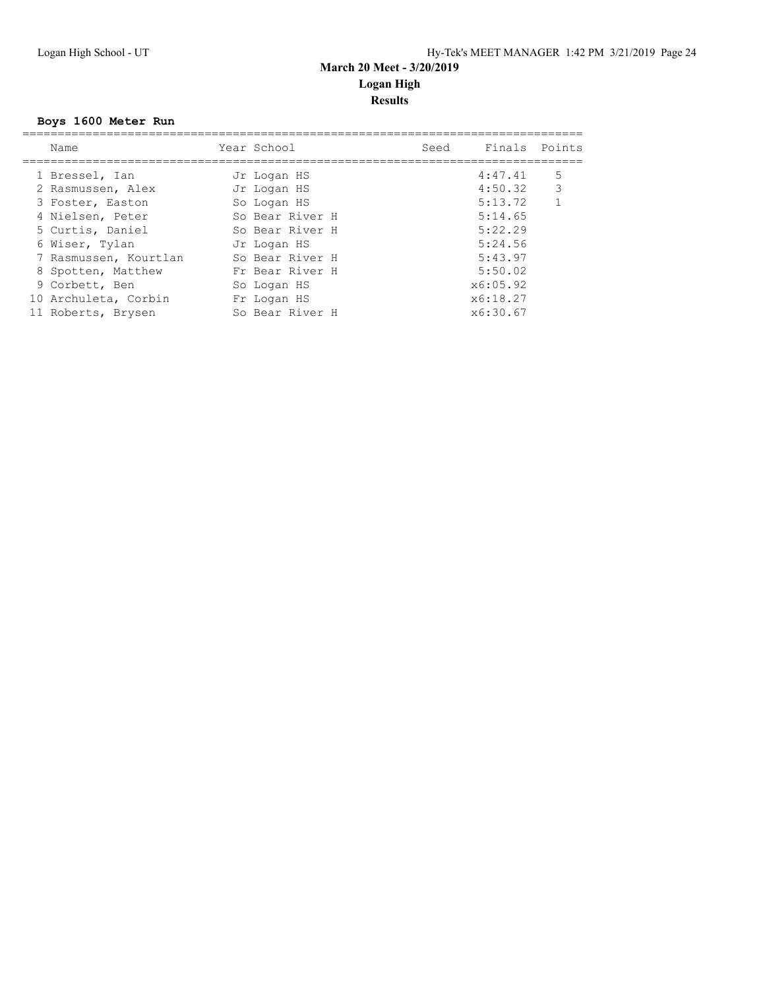## **Boys 1600 Meter Run**

| Name                  | Year School     | Seed | Finals Points |                |
|-----------------------|-----------------|------|---------------|----------------|
| 1 Bressel, Ian        | Jr Logan HS     |      | 4:47.41       | 5              |
| 2 Rasmussen, Alex     | Jr Logan HS     |      | 4:50.32       | 3              |
| 3 Foster, Easton      | So Logan HS     |      | 5:13.72       | $\overline{1}$ |
| 4 Nielsen, Peter      | So Bear River H |      | 5:14.65       |                |
| 5 Curtis, Daniel      | So Bear River H |      | 5:22.29       |                |
| 6 Wiser, Tylan        | Jr Logan HS     |      | 5:24.56       |                |
| 7 Rasmussen, Kourtlan | So Bear River H |      | 5:43.97       |                |
| 8 Spotten, Matthew    | Fr Bear River H |      | 5:50.02       |                |
| 9 Corbett, Ben        | So Logan HS     |      | x6:05.92      |                |
| 10 Archuleta, Corbin  | Fr Logan HS     |      | x6:18.27      |                |
| 11 Roberts, Brysen    | So Bear River H |      | x6:30.67      |                |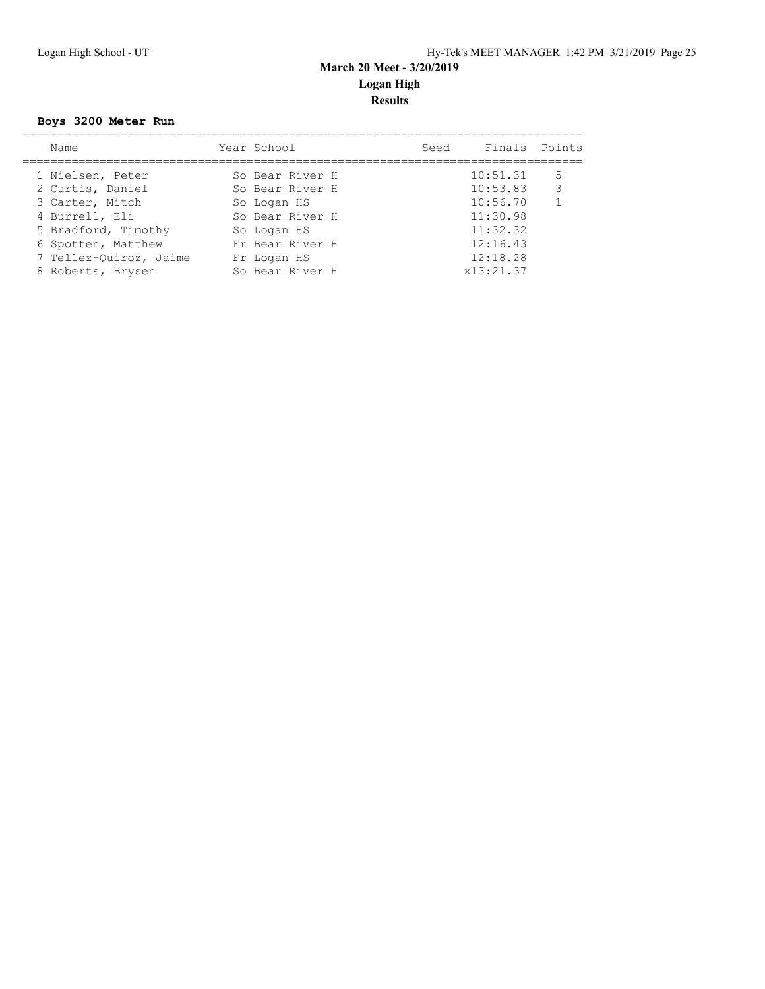## **Boys 3200 Meter Run**

| Name                   | Year School     | Seed | Finals Points |              |
|------------------------|-----------------|------|---------------|--------------|
| 1 Nielsen, Peter       | So Bear River H |      | 10:51.31      | 5            |
| 2 Curtis, Daniel       | So Bear River H |      | 10:53.83      | 3            |
| 3 Carter, Mitch        | So Logan HS     |      | 10:56.70      | $\mathbf{1}$ |
| 4 Burrell, Eli         | So Bear River H |      | 11:30.98      |              |
| 5 Bradford, Timothy    | So Logan HS     |      | 11:32.32      |              |
| 6 Spotten, Matthew     | Fr Bear River H |      | 12:16.43      |              |
| 7 Tellez-Quiroz, Jaime | Fr Logan HS     |      | 12:18.28      |              |
| 8 Roberts, Brysen      | So Bear River H |      | x13:21.37     |              |
|                        |                 |      |               |              |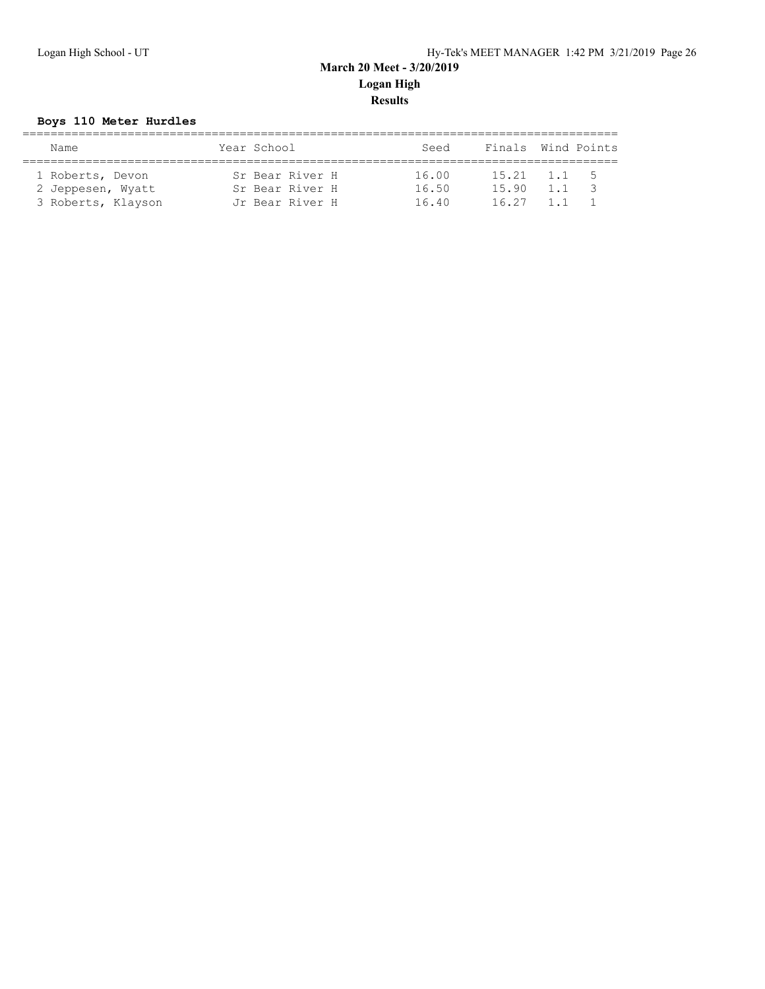## **Boys 110 Meter Hurdles**

| Name               | Year School     | Seed  | Finals Wind Points |       |               |
|--------------------|-----------------|-------|--------------------|-------|---------------|
|                    |                 |       |                    |       |               |
| 1 Roberts, Devon   | Sr Bear River H | 16.00 | 15.21              | 1.1 5 |               |
| 2 Jeppesen, Wyatt  | Sr Bear River H | 16.50 | 15.90              | 1.1   | $\mathcal{R}$ |
| 3 Roberts, Klayson | Jr Bear River H | 16.40 | 16.27              |       |               |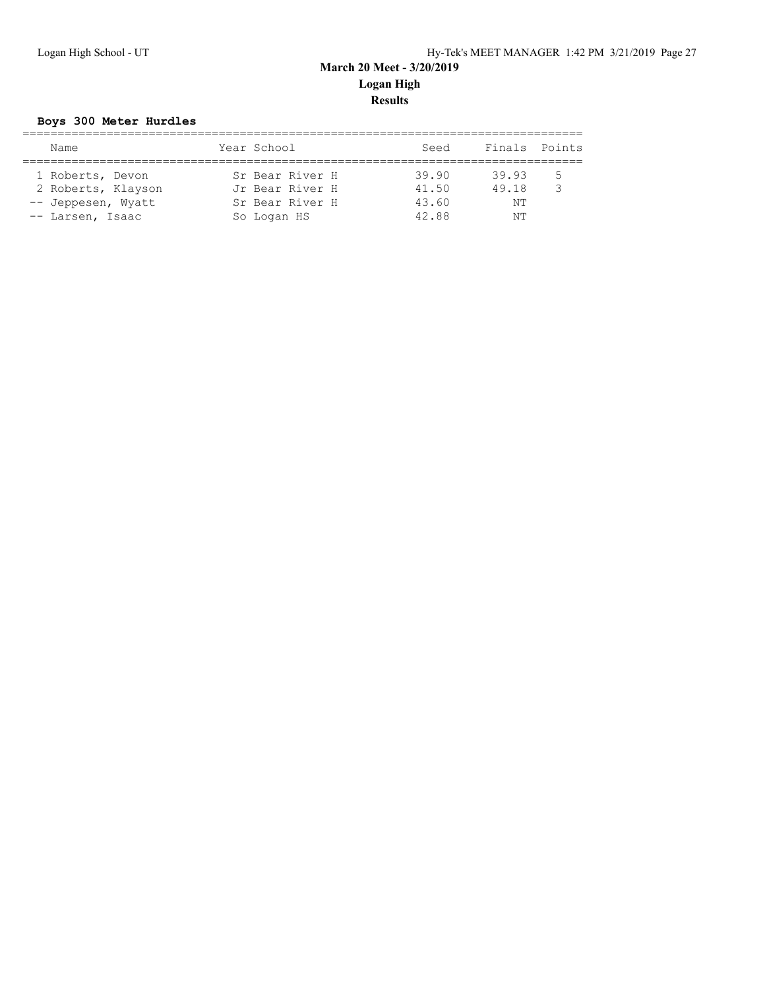## **Boys 300 Meter Hurdles**

| Name               | Year School     | Seed  | Finals Points |   |
|--------------------|-----------------|-------|---------------|---|
|                    |                 |       |               |   |
| 1 Roberts, Devon   | Sr Bear River H | 39.90 | 39.93         | 5 |
| 2 Roberts, Klayson | Jr Bear River H | 41.50 | 49.18         | २ |
| -- Jeppesen, Wyatt | Sr Bear River H | 43.60 | NΤ            |   |
| -- Larsen, Isaac   | So Logan HS     | 42.88 | NΤ            |   |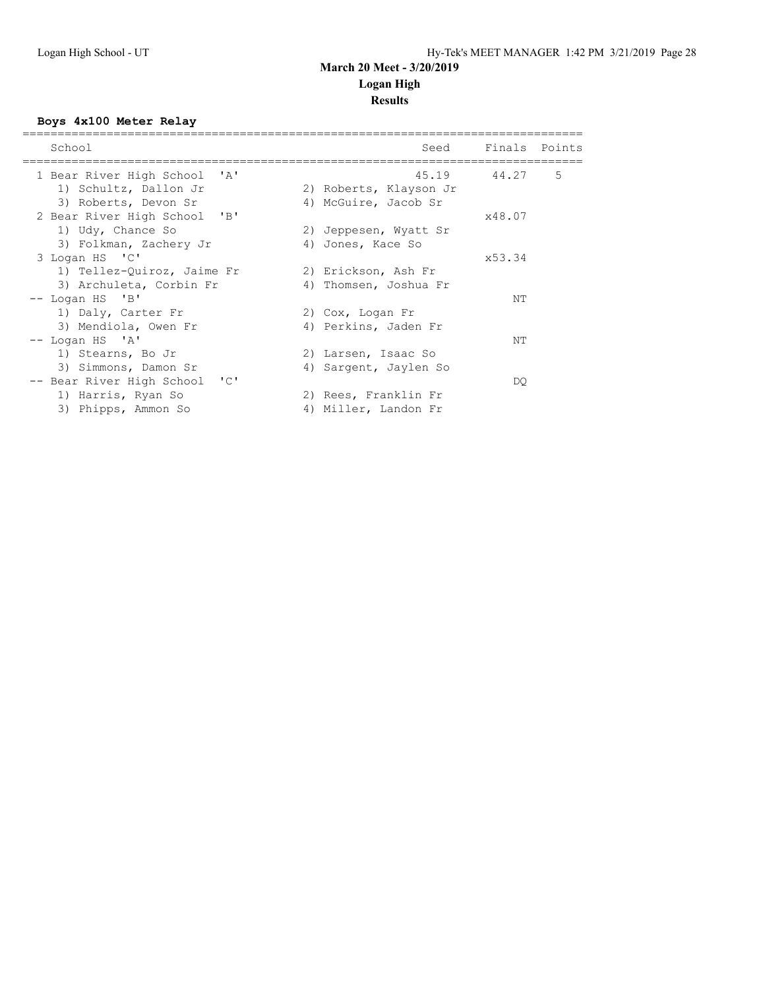# **Results**

## **Boys 4x100 Meter Relay**

| School                                                | Seed                   | Finals Points |   |
|-------------------------------------------------------|------------------------|---------------|---|
|                                                       |                        |               |   |
| 1 Bear River High School<br>$^{\prime}$ A $^{\prime}$ | 45.19 44.27            |               | 5 |
| 1) Schultz, Dallon Jr                                 | 2) Roberts, Klayson Jr |               |   |
| 3) Roberts, Devon Sr                                  | 4) McGuire, Jacob Sr   |               |   |
| 2 Bear River High School 'B'                          |                        | x48.07        |   |
| 1) Udy, Chance So                                     | 2) Jeppesen, Wyatt Sr  |               |   |
| 3) Folkman, Zachery Jr                                | 4) Jones, Kace So      |               |   |
| 3 Logan HS 'C'                                        |                        | x53.34        |   |
| 1) Tellez-Quiroz, Jaime Fr                            | 2) Erickson, Ash Fr    |               |   |
| 3) Archuleta, Corbin Fr                               | 4) Thomsen, Joshua Fr  |               |   |
| -- Logan HS 'B'                                       |                        | NΤ            |   |
| 1) Daly, Carter Fr                                    | 2) Cox, Logan Fr       |               |   |
| 3) Mendiola, Owen Fr                                  | 4) Perkins, Jaden Fr   |               |   |
| $--$ Logan HS $'A'$                                   |                        | NΤ            |   |
| 1) Stearns, Bo Jr                                     | 2) Larsen, Isaac So    |               |   |
| 3) Simmons, Damon Sr                                  | 4) Sargent, Jaylen So  |               |   |
| $\cdot$ 'C'<br>-- Bear River High School              |                        | DO.           |   |
| 1) Harris, Ryan So                                    | 2) Rees, Franklin Fr   |               |   |
| 3) Phipps, Ammon So                                   | 4) Miller, Landon Fr   |               |   |
|                                                       |                        |               |   |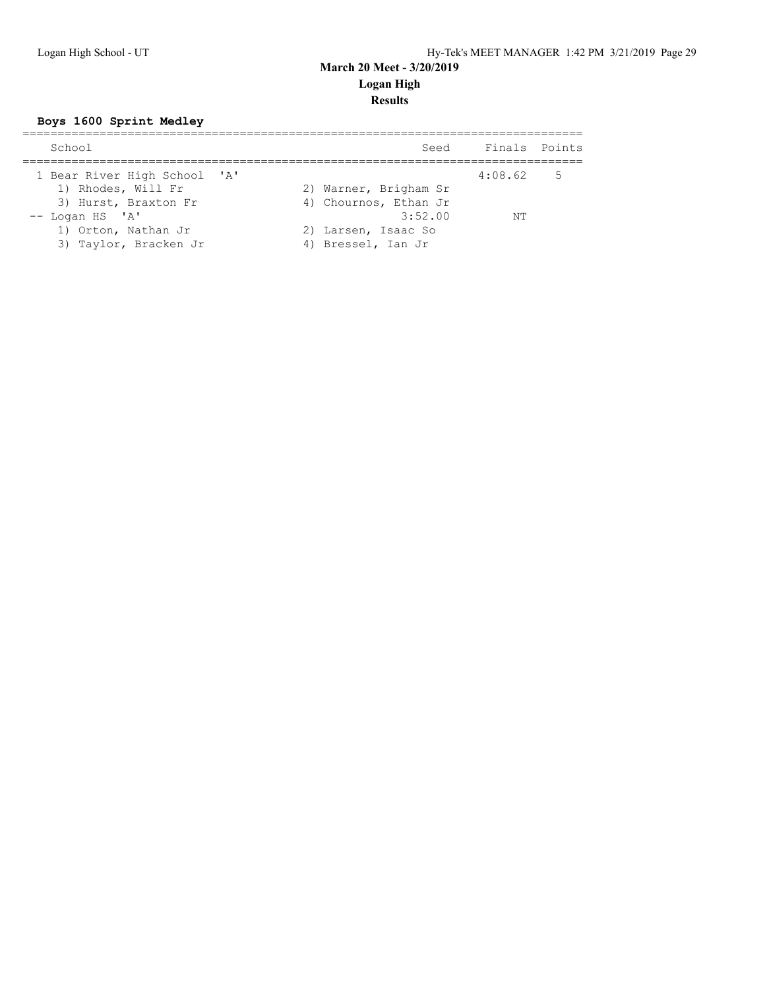## **Boys 1600 Sprint Medley**

| School                                                                                                                   | Seed                                                                                                   | Finals Points     |  |
|--------------------------------------------------------------------------------------------------------------------------|--------------------------------------------------------------------------------------------------------|-------------------|--|
| 1 Bear River High School 'A'<br>1) Rhodes, Will Fr<br>3) Hurst, Braxton Fr<br>$--$ Logan HS $'A'$<br>1) Orton, Nathan Jr | 2) Warner, Brigham Sr<br>4) Chournos, Ethan Jr<br>3:52.00<br>2) Larsen, Isaac So<br>4) Bressel, Ian Jr | $4:08.62$ 5<br>NΤ |  |
| 3) Taylor, Bracken Jr                                                                                                    |                                                                                                        |                   |  |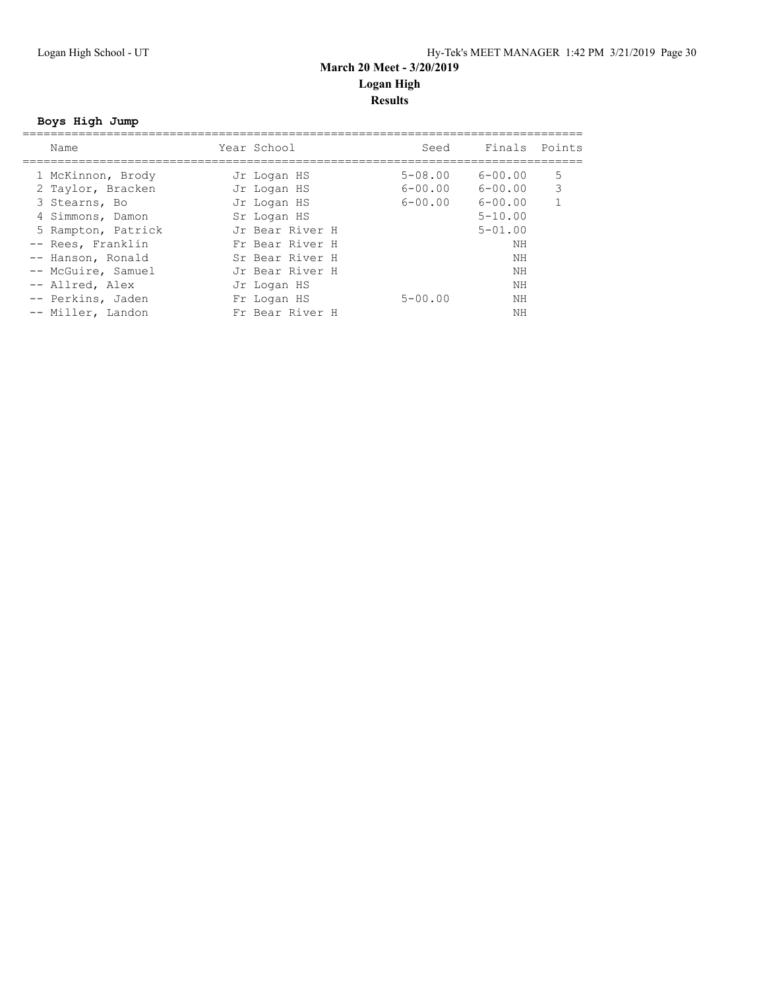## **Boys High Jump**

| Name               | Year School     | Seed        | Finals Points |   |
|--------------------|-----------------|-------------|---------------|---|
| 1 McKinnon, Brody  | Jr Logan HS     | $5 - 08.00$ | $6 - 00.00$   | 5 |
| 2 Taylor, Bracken  | Jr Logan HS     | $6 - 00.00$ | $6 - 00.00$   | 3 |
| 3 Stearns, Bo      | Jr Logan HS     | $6 - 00.00$ | $6 - 00.00$   |   |
| 4 Simmons, Damon   | Sr Logan HS     |             | $5 - 10.00$   |   |
| 5 Rampton, Patrick | Jr Bear River H |             | $5 - 01.00$   |   |
| -- Rees, Franklin  | Fr Bear River H |             | ΝH            |   |
| -- Hanson, Ronald  | Sr Bear River H |             | NΗ            |   |
| -- McGuire, Samuel | Jr Bear River H |             | NΗ            |   |
| -- Allred, Alex    | Jr Logan HS     |             | ΝH            |   |
| -- Perkins, Jaden  | Fr Logan HS     | $5 - 00.00$ | NΗ            |   |
| -- Miller, Landon  | Fr Bear River H |             | ΝH            |   |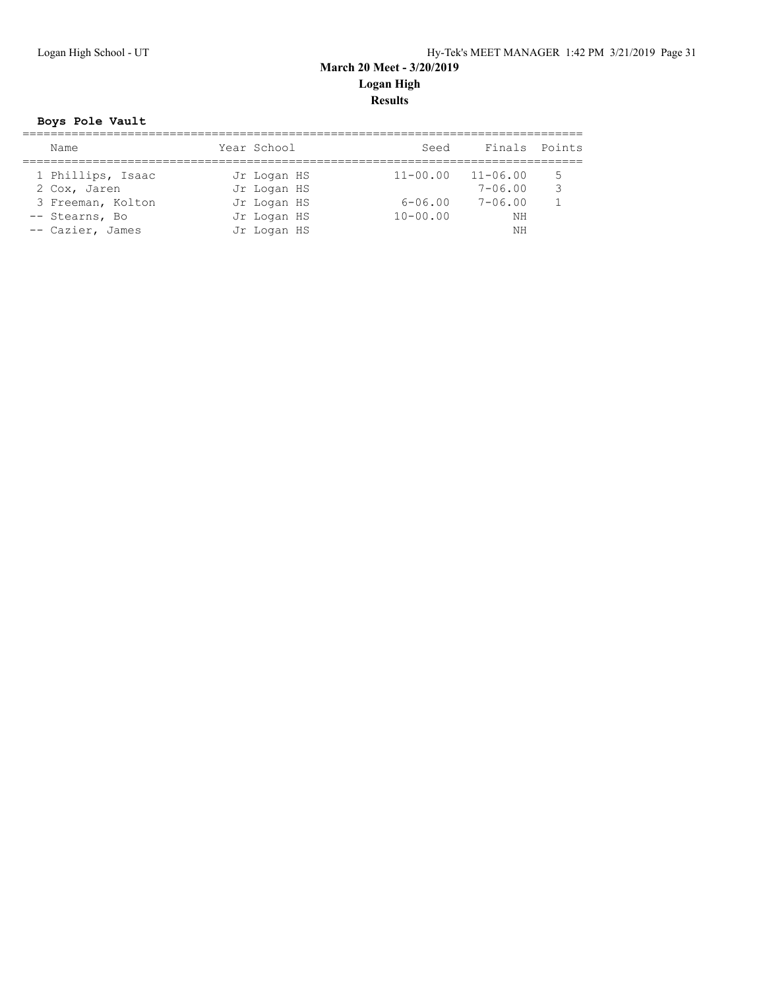## **Boys Pole Vault**

| Name              | Year School | Seed         | Finals Points |   |
|-------------------|-------------|--------------|---------------|---|
|                   |             |              |               |   |
| 1 Phillips, Isaac | Jr Logan HS | $11 - 00.00$ | $11 - 06.00$  | 5 |
| 2 Cox, Jaren      | Jr Logan HS |              | $7 - 06.00$   | ₹ |
| 3 Freeman, Kolton | Jr Logan HS | $6 - 06.00$  | $7 - 06.00$   |   |
| -- Stearns, Bo    | Jr Logan HS | $10 - 00.00$ | NΗ            |   |
| -- Cazier, James  | Jr Logan HS |              | NΗ            |   |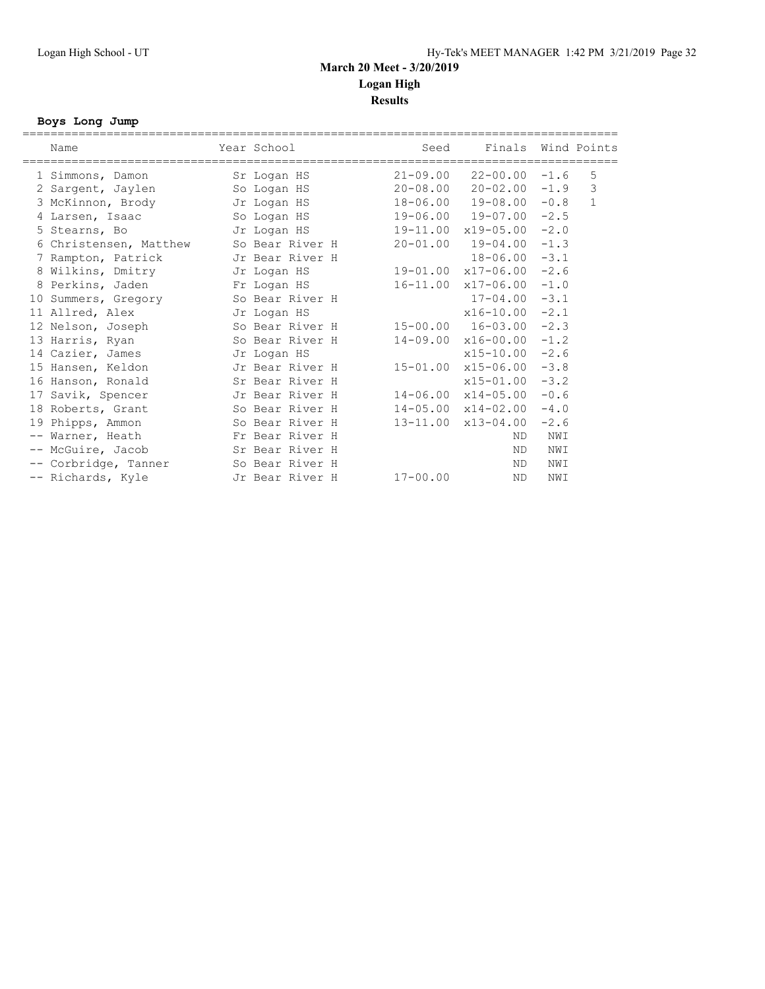### **Boys Long Jump**

| Name                   | Year School     | Seed         | Finals                         |        | Wind Points  |
|------------------------|-----------------|--------------|--------------------------------|--------|--------------|
| 1 Simmons, Damon       | Sr Logan HS     |              | $21-09.00$ $22-00.00$ $-1.6$   |        | 5            |
| 2 Sargent, Jaylen      | So Logan HS     |              | 20-08.00 20-02.00              | $-1.9$ | 3            |
| 3 McKinnon, Brody      | Jr Logan HS     | 18-06.00     | $19 - 08.00 - 0.8$             |        | $\mathbf{1}$ |
| 4 Larsen, Isaac        | So Logan HS     |              | 19-06.00 19-07.00              | $-2.5$ |              |
| 5 Stearns, Bo          | Jr Logan HS     |              | 19-11.00 x19-05.00             | $-2.0$ |              |
| 6 Christensen, Matthew | So Bear River H | $20 - 01.00$ | 19-04.00                       | $-1.3$ |              |
| 7 Rampton, Patrick     | Jr Bear River H |              | 18-06.00                       | $-3.1$ |              |
| 8 Wilkins, Dmitry      | Jr Logan HS     |              | $19-01.00 \times 17-06.00$     | $-2.6$ |              |
| 8 Perkins, Jaden       | Fr Logan HS     |              | 16-11.00 x17-06.00             | $-1.0$ |              |
| 10 Summers, Gregory    | So Bear River H |              | $17 - 04.00$                   | $-3.1$ |              |
| 11 Allred, Alex        | Jr Logan HS     |              | x16-10.00                      | $-2.1$ |              |
| 12 Nelson, Joseph      | So Bear River H |              | 15-00.00 16-03.00              | $-2.3$ |              |
| 13 Harris, Ryan        | So Bear River H |              | $14-09.00 \times 16-00.00$     | $-1.2$ |              |
| 14 Cazier, James       | Jr Logan HS     |              | $x15 - 10.00$                  | $-2.6$ |              |
| 15 Hansen, Keldon      | Jr Bear River H | $15 - 01.00$ | $x15 - 06.00$                  | $-3.8$ |              |
| 16 Hanson, Ronald      | Sr Bear River H |              | $x15 - 01.00$                  | $-3.2$ |              |
| 17 Savik, Spencer      | Jr Bear River H |              | $14 - 06.00 \times 14 - 05.00$ | $-0.6$ |              |
| 18 Roberts, Grant      | So Bear River H |              | $14-05.00 \times 14-02.00$     | $-4.0$ |              |
| 19 Phipps, Ammon       | So Bear River H |              | $13 - 11.00 \times 13 - 04.00$ | $-2.6$ |              |
| -- Warner, Heath       | Fr Bear River H |              | ND.                            | NWI    |              |
| -- McGuire, Jacob      | Sr Bear River H |              | ND.                            | NWI    |              |
| -- Corbridge, Tanner   | So Bear River H |              | ND                             | NWI    |              |
| -- Richards, Kyle      | Jr Bear River H | 17-00.00     | <b>ND</b>                      | NWI    |              |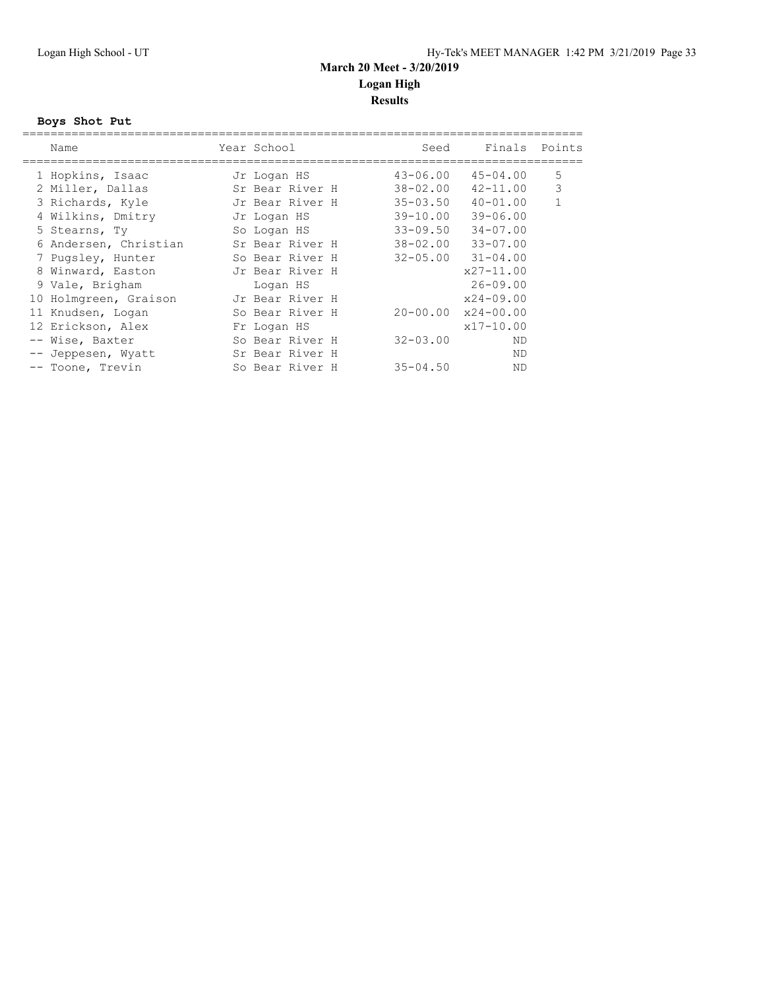## **Boys Shot Put**

|  | Name                  | Year School     | Seed         | Finals Points              |              |
|--|-----------------------|-----------------|--------------|----------------------------|--------------|
|  | 1 Hopkins, Isaac      | Jr Logan HS     | $43 - 06.00$ | $45 - 04.00$               | 5            |
|  | 2 Miller, Dallas      | Sr Bear River H | $38 - 02.00$ | $42 - 11.00$               | 3            |
|  | 3 Richards, Kyle      | Jr Bear River H | $35 - 03.50$ | $40 - 01.00$               | $\mathbf{1}$ |
|  | 4 Wilkins, Dmitry     | Jr Logan HS     | $39 - 10.00$ | $39 - 06.00$               |              |
|  | 5 Stearns, Ty         | So Logan HS     | $33 - 09.50$ | $34 - 07.00$               |              |
|  | 6 Andersen, Christian | Sr Bear River H | 38-02.00     | $33 - 07.00$               |              |
|  | 7 Pugsley, Hunter     | So Bear River H |              | $32 - 05.00$ $31 - 04.00$  |              |
|  | 8 Winward, Easton     | Jr Bear River H |              | $x27 - 11.00$              |              |
|  | 9 Vale, Brigham       | Logan HS        |              | $26 - 09.00$               |              |
|  | 10 Holmgreen, Graison | Jr Bear River H |              | $x24 - 09.00$              |              |
|  | 11 Knudsen, Logan     | So Bear River H |              | $20 - 00.00$ $x24 - 00.00$ |              |
|  | 12 Erickson, Alex     | Fr Logan HS     |              | $x17 - 10.00$              |              |
|  | -- Wise, Baxter       | So Bear River H | $32 - 03.00$ | ND                         |              |
|  | -- Jeppesen, Wyatt    | Sr Bear River H |              | ND                         |              |
|  | -- Toone, Trevin      | So Bear River H | $35 - 04.50$ | ND                         |              |
|  |                       |                 |              |                            |              |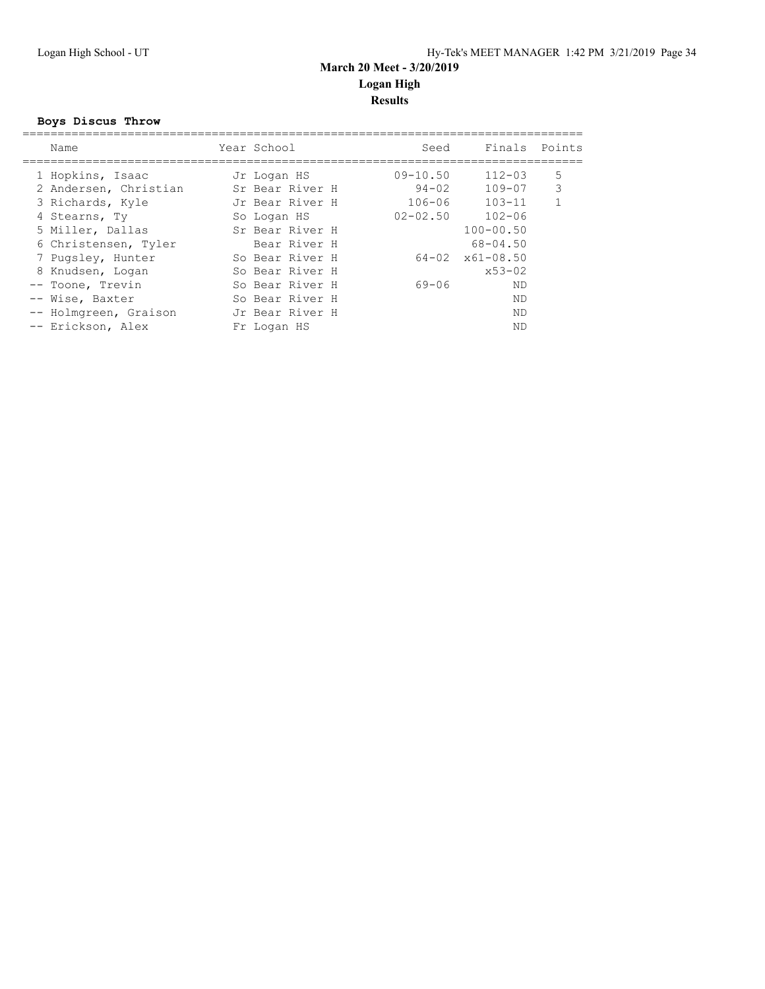#### **Boys Discus Throw**

| Name                  | Year School |                 | Seed         | Finals Points               |              |
|-----------------------|-------------|-----------------|--------------|-----------------------------|--------------|
| 1 Hopkins, Isaac      | Jr Logan HS |                 | $09 - 10.50$ | $112 - 03$                  | 5            |
| 2 Andersen, Christian |             | Sr Bear River H | $94 - 02$    | $109 - 07$                  | 3            |
| 3 Richards, Kyle      |             | Jr Bear River H | $106 - 06$   | $103 - 11$                  | $\mathbf{1}$ |
| 4 Stearns, Ty         | So Logan HS |                 | $02 - 02.50$ | $102 - 06$                  |              |
| 5 Miller, Dallas      |             | Sr Bear River H |              | $100 - 00.50$               |              |
| 6 Christensen, Tyler  |             | Bear River H    |              | $68 - 04.50$                |              |
| 7 Pugsley, Hunter     |             | So Bear River H |              | $64 - 02 \times 61 - 08.50$ |              |
| 8 Knudsen, Logan      |             | So Bear River H |              | $x53 - 02$                  |              |
| -- Toone, Trevin      |             | So Bear River H | 69-06        | ND                          |              |
| -- Wise, Baxter       |             | So Bear River H |              | ND                          |              |
| -- Holmgreen, Graison |             | Jr Bear River H |              | ND.                         |              |
| -- Erickson, Alex     | Fr Logan HS |                 |              | ND                          |              |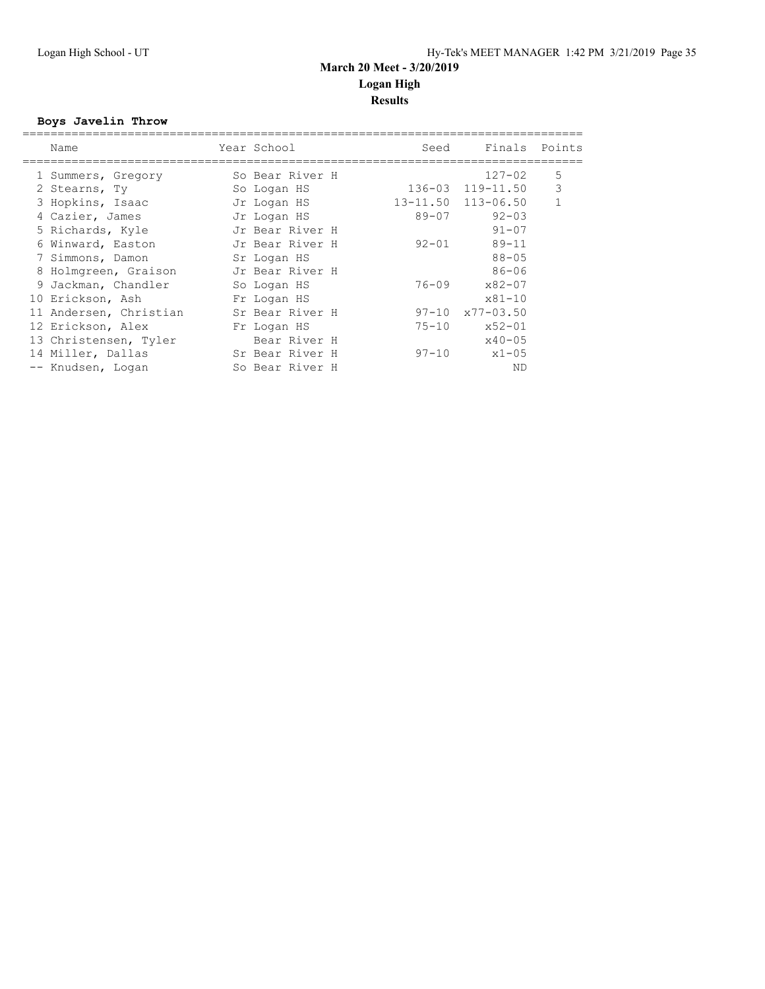## **Boys Javelin Throw**

| Name                   | Year School     | Seed      | Finals Points           |   |
|------------------------|-----------------|-----------|-------------------------|---|
| 1 Summers, Gregory     | So Bear River H |           | $127 - 02$              | 5 |
| 2 Stearns, Ty          | So Logan HS     |           | 136-03 119-11.50        | 3 |
| 3 Hopkins, Isaac       | Jr Logan HS     |           | 13-11.50 113-06.50      | 1 |
| 4 Cazier, James        | Jr Logan HS     | $89 - 07$ | $92 - 03$               |   |
| 5 Richards, Kyle       | Jr Bear River H |           | $91 - 07$               |   |
| 6 Winward, Easton      | Jr Bear River H | $92 - 01$ | $89 - 11$               |   |
| 7 Simmons, Damon       | Sr Logan HS     |           | $88 - 05$               |   |
| 8 Holmgreen, Graison   | Jr Bear River H |           | $86 - 06$               |   |
| 9 Jackman, Chandler    | So Logan HS     | 76-09     | $x82 - 07$              |   |
| 10 Erickson, Ash       | Fr Logan HS     |           | $x81 - 10$              |   |
| 11 Andersen, Christian | Sr Bear River H |           | $97-10 \times 77-03.50$ |   |
| 12 Erickson, Alex      | Fr Logan HS     | $75 - 10$ | $x52 - 01$              |   |
| 13 Christensen, Tyler  | Bear River H    |           | $x40 - 05$              |   |
| 14 Miller, Dallas      | Sr Bear River H | 97-10     | $x1 - 05$               |   |
| -- Knudsen, Logan      | So Bear River H |           | ND                      |   |